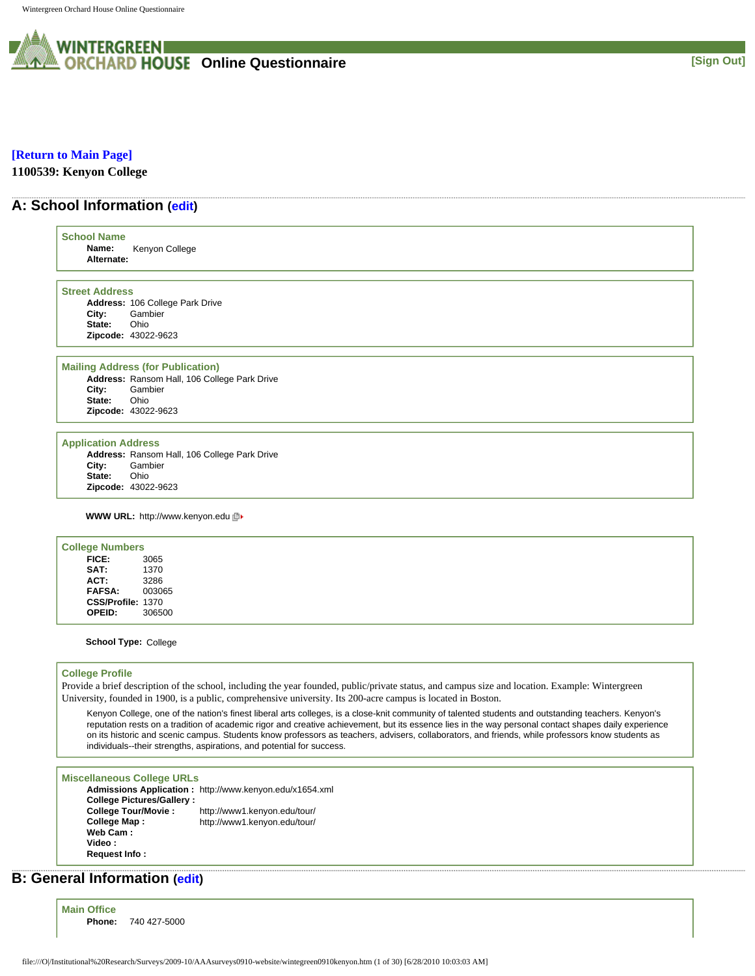

## **[\[Return to Main Page\]](http://survey.wgoh.com/secure/contents.htm)**

**1100539: Kenyon College** 

## **A: School Information [\(edit](http://survey.wgoh.com/secure/sectionAView.htm))**

| <b>School Name</b><br>Name:<br>Alternate:     | Kenyon College                                                                         |
|-----------------------------------------------|----------------------------------------------------------------------------------------|
| <b>Street Address</b>                         |                                                                                        |
|                                               | Address: 106 College Park Drive                                                        |
| City:                                         | Gambier                                                                                |
| State:                                        | Ohio                                                                                   |
|                                               | Zipcode: 43022-9623                                                                    |
|                                               | <b>Mailing Address (for Publication)</b>                                               |
|                                               | Address: Ransom Hall, 106 College Park Drive                                           |
| City:                                         | Gambier                                                                                |
| State:                                        | Ohio                                                                                   |
|                                               | Zipcode: 43022-9623                                                                    |
| <b>Application Address</b><br>City:<br>State: | Address: Ransom Hall, 106 College Park Drive<br>Gambier<br>Ohio<br>Zipcode: 43022-9623 |
|                                               | <b>WWW URL: http://www.kenyon.edu</b> 回▶                                               |
| <b>College Numbers</b>                        |                                                                                        |
| FICE:                                         | 3065                                                                                   |
| SAT:                                          | 1370                                                                                   |
| ACT:                                          | 3286                                                                                   |
| FAFSA:                                        | 003065                                                                                 |
|                                               | CSS/Profile: 1370                                                                      |
| OPEID:                                        | 306500                                                                                 |

#### **College Profile**

Provide a brief description of the school, including the year founded, public/private status, and campus size and location. Example: Wintergreen University, founded in 1900, is a public, comprehensive university. Its 200-acre campus is located in Boston.

Kenyon College, one of the nation's finest liberal arts colleges, is a close-knit community of talented students and outstanding teachers. Kenyon's reputation rests on a tradition of academic rigor and creative achievement, but its essence lies in the way personal contact shapes daily experience on its historic and scenic campus. Students know professors as teachers, advisers, collaborators, and friends, while professors know students as individuals--their strengths, aspirations, and potential for success.

## **Miscellaneous College URLs**

**Admissions Application :** http://www.kenyon.edu/x1654.xml **College Pictures/Gallery : College Tour/Movie :** http://www1.kenyon.edu/tour/ **College Map :** http://www1.kenyon.edu/tour/ **Web Cam : Video : Request Info :**

## **B: General Information ([edit\)](http://survey.wgoh.com/secure/sectionBView.htm)**

**Main Office Phone:** 740 427-5000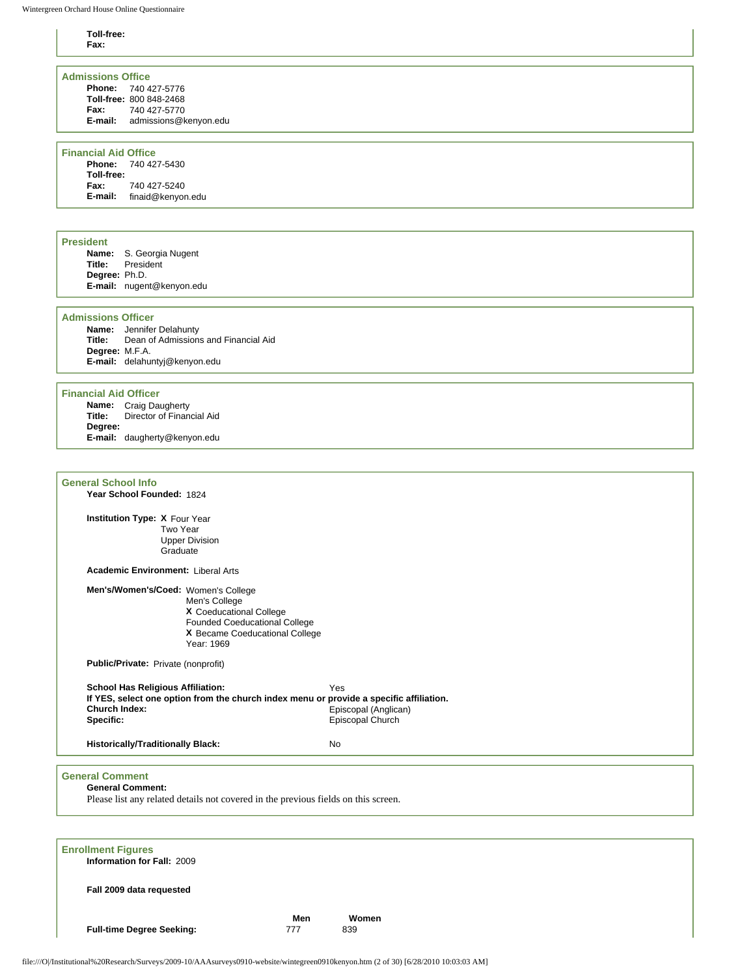# **Toll-free:**

| Toll-free:<br>Fax:                                                                                                                                                                                              |                                                 |
|-----------------------------------------------------------------------------------------------------------------------------------------------------------------------------------------------------------------|-------------------------------------------------|
| <b>Admissions Office</b><br>Phone: 740 427-5776<br>Toll-free: 800 848-2468<br>Fax:<br>740 427-5770<br>E-mail: admissions@kenyon.edu                                                                             |                                                 |
| <b>Financial Aid Office</b><br>Phone: 740 427-5430<br>Toll-free:<br>740 427-5240<br>Fax:<br>E-mail: finaid@kenyon.edu                                                                                           |                                                 |
| <b>President</b><br>Name: S. Georgia Nugent<br>Title:<br>President<br>Degree: Ph.D.<br>E-mail: nugent@kenyon.edu                                                                                                |                                                 |
| <b>Admissions Officer</b><br><b>Name:</b> Jennifer Delahunty<br>Dean of Admissions and Financial Aid<br>Title:<br>Degree: M.F.A.<br>E-mail: delahuntyj@kenyon.edu                                               |                                                 |
| <b>Financial Aid Officer</b><br>Name: Craig Daugherty<br>Director of Financial Aid<br>Title:<br>Degree:<br>E-mail: daugherty@kenyon.edu                                                                         |                                                 |
| <b>General School Info</b><br>Year School Founded: 1824<br>Institution Type: X Four Year<br>Two Year<br><b>Upper Division</b><br>Graduate                                                                       |                                                 |
| <b>Academic Environment: Liberal Arts</b><br>Men's/Women's/Coed: Women's College<br>Men's College<br>X Coeducational College<br>Founded Coeducational College<br>X Became Coeducational College<br>Year: 1969   |                                                 |
| Public/Private: Private (nonprofit)<br><b>School Has Religious Affiliation:</b><br>If YES, select one option from the church index menu or provide a specific affiliation.<br><b>Church Index:</b><br>Specific: | Yes<br>Episcopal (Anglican)<br>Episcopal Church |
| <b>Historically/Traditionally Black:</b><br>No                                                                                                                                                                  |                                                 |
| <b>General Comment</b><br><b>General Comment:</b><br>Please list any related details not covered in the previous fields on this screen.                                                                         |                                                 |
| <b>Enrollment Figures</b><br>Information for Fall: 2009                                                                                                                                                         |                                                 |
| Fall 2009 data requested<br>Men<br><b>Full-time Degree Seeking:</b><br>777                                                                                                                                      | Women<br>839                                    |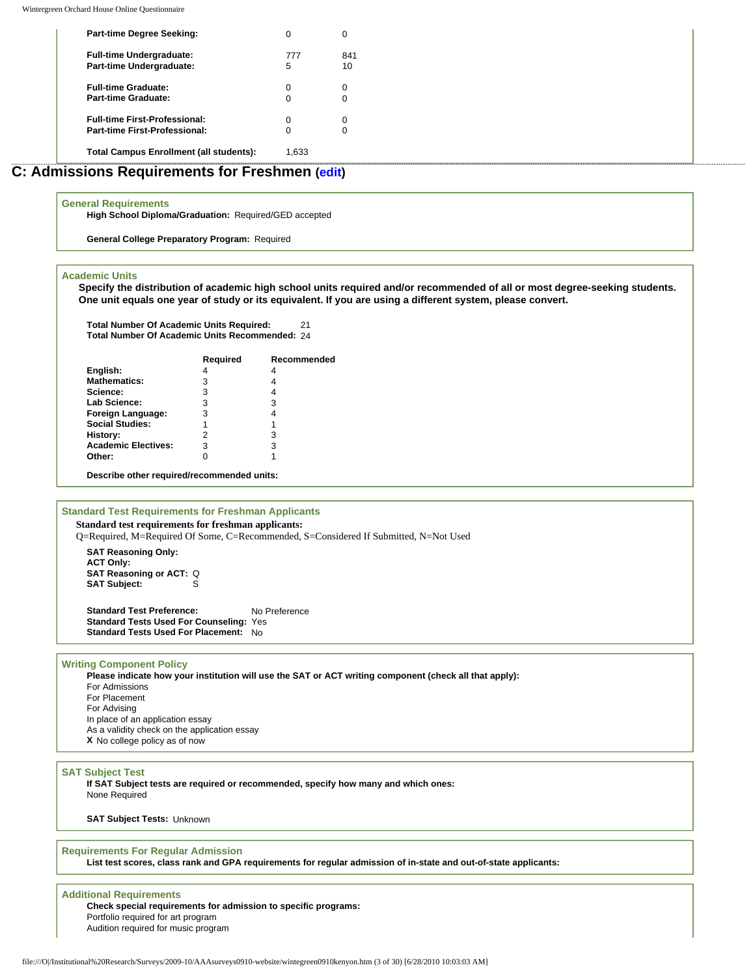| <b>Part-time Degree Seeking:</b>               |       | C   |  |  |
|------------------------------------------------|-------|-----|--|--|
| <b>Full-time Undergraduate:</b>                | 777   | 841 |  |  |
| Part-time Undergraduate:                       | 5     | 10  |  |  |
| <b>Full-time Graduate:</b>                     |       |     |  |  |
| <b>Part-time Graduate:</b>                     |       | C   |  |  |
| <b>Full-time First-Professional:</b>           |       |     |  |  |
| Part-time First-Professional:                  |       | C   |  |  |
| <b>Total Campus Enrollment (all students):</b> | 1.633 |     |  |  |

## **C: Admissions Requirements for Freshmen [\(edit\)](http://survey.wgoh.com/secure/sectionCView.htm)**

## **General Requirements**

**High School Diploma/Graduation:** Required/GED accepted

**General College Preparatory Program:** Required

#### **Academic Units**

**Specify the distribution of academic high school units required and/or recommended of all or most degree-seeking students. One unit equals one year of study or its equivalent. If you are using a different system, please convert.** 

**Total Number Of Academic Units Required:** 21 **Total Number Of Academic Units Recommended:** 24

|                                            | Required | Recommended |
|--------------------------------------------|----------|-------------|
| English:                                   | 4        | 4           |
| <b>Mathematics:</b>                        | 3        |             |
| Science:                                   | 3        | 4           |
| Lab Science:                               | 3        | 3           |
| Foreign Language:                          | 3        |             |
| <b>Social Studies:</b>                     | 1        |             |
| History:                                   | 2        | з           |
| <b>Academic Electives:</b>                 | 3        | з           |
| Other:                                     |          |             |
| Describe other required/recommended units: |          |             |

#### **Standard Test Requirements for Freshman Applicants Standard test requirements for freshman applicants:**

Q=Required, M=Required Of Some, C=Recommended, S=Considered If Submitted, N=Not Used

**SAT Reasoning Only: ACT Only: SAT Reasoning or ACT:** Q **SAT Subject:** S

Standard Test Preference: No Preference **Standard Tests Used For Counseling:** Yes **Standard Tests Used For Placement:** No

## **Writing Component Policy**

**Please indicate how your institution will use the SAT or ACT writing component (check all that apply):** For Admissions For Placement For Advising In place of an application essay As a validity check on the application essay **X** No college policy as of now

#### **SAT Subject Test**

**If SAT Subject tests are required or recommended, specify how many and which ones:**  None Required

**SAT Subject Tests:** Unknown

**Requirements For Regular Admission List test scores, class rank and GPA requirements for regular admission of in-state and out-of-state applicants:** 

### **Additional Requirements**

**Check special requirements for admission to specific programs:** Portfolio required for art program Audition required for music program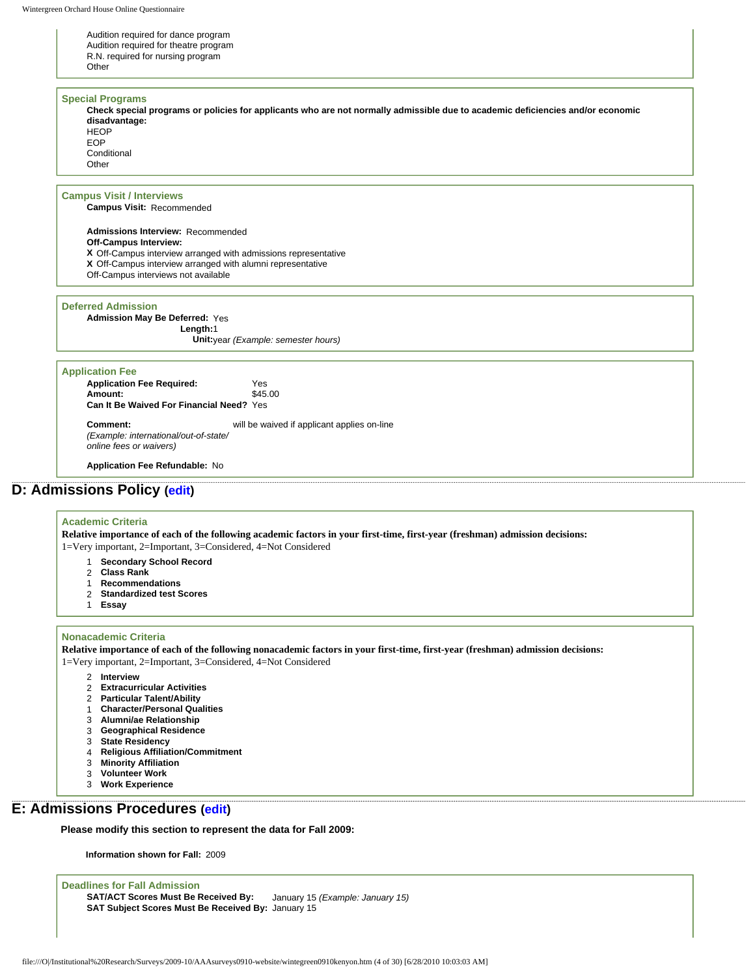Audition required for dance program Audition required for theatre program R.N. required for nursing program

#### **Special Programs**

**Other** 

**Check special programs or policies for applicants who are not normally admissible due to academic deficiencies and/or economic disadvantage: HFOP** EOP **Conditional** 

**Other** 

## **Campus Visit / Interviews**

**Campus Visit:** Recommended

**Admissions Interview:** Recommended **Off-Campus Interview: X** Off-Campus interview arranged with admissions representative **X** Off-Campus interview arranged with alumni representative Off-Campus interviews not available

## **Deferred Admission**

**Admission May Be Deferred:** Yes **Length:**1 **Unit:**year *(Example: semester hours)*

#### **Application Fee**

**Application Fee Required:** Yes<br> **Amount:** \$45.00 **Amount:** \$45.00 **Can It Be Waived For Financial Need?** Yes

**Comment:** *(Example: international/out-of-state/ online fees or waivers)* will be waived if applicant applies on-line

**Application Fee Refundable:** No

## **D: Admissions Policy ([edit](http://survey.wgoh.com/secure/sectionDView.htm))**

## **Academic Criteria**

**Relative importance of each of the following academic factors in your first-time, first-year (freshman) admission decisions:** 1=Very important, 2=Important, 3=Considered, 4=Not Considered

- 1 **Secondary School Record**
- 2 **Class Rank**
- 1 **Recommendations**
- 2 **Standardized test Scores**
- 1 **Essay**
- 

#### **Nonacademic Criteria**

**Relative importance of each of the following nonacademic factors in your first-time, first-year (freshman) admission decisions:**

1=Very important, 2=Important, 3=Considered, 4=Not Considered

- 2 **Interview**
- 2 **Extracurricular Activities**
- 2 **Particular Talent/Ability**
- 1 **Character/Personal Qualities**
- 3 **Alumni/ae Relationship**
- 3 **Geographical Residence**
- 3 **State Residency**
- 4 **Religious Affiliation/Commitment**
- 3 **Minority Affiliation**
- 3 **Volunteer Work**
- 3 **Work Experience**

## **E: Admissions Procedures [\(edit\)](http://survey.wgoh.com/secure/sectionEView.htm)**

**Please modify this section to represent the data for Fall 2009:** 

**Information shown for Fall:** 2009

**Deadlines for Fall Admission SAT/ACT Scores Must Be Received By:** January 15 *(Example: January 15)* **SAT Subject Scores Must Be Received By:** January 15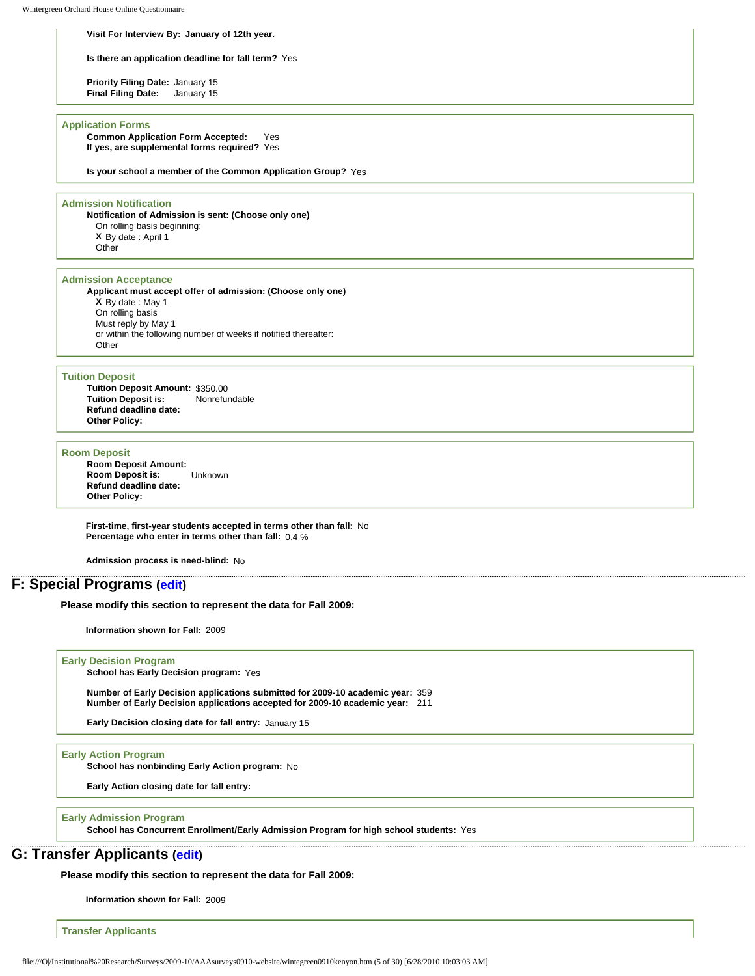#### **Visit For Interview By: January of 12th year.**

**Is there an application deadline for fall term?** Yes

**Priority Filing Date:** January 15 **Final Filing Date:** January 15

#### **Application Forms**

**Common Application Form Accepted:** Yes **If yes, are supplemental forms required?** Yes

**Is your school a member of the Common Application Group?** Yes

#### **Admission Notification**

**Notification of Admission is sent: (Choose only one)** On rolling basis beginning: **X** By date : April 1 **Other** 

#### **Admission Acceptance**

**Applicant must accept offer of admission: (Choose only one) X** By date : May 1 On rolling basis Must reply by May 1 or within the following number of weeks if notified thereafter: Other

#### **Tuition Deposit**

**Tuition Deposit Amount: \$350.00<br><b>Tuition Deposit is:** Nonrefundable **Tuition Deposit is: Refund deadline date: Other Policy:**

#### **Room Deposit**

**Room Deposit Amount: Room Deposit is:** Unknown **Refund deadline date: Other Policy:**

**First-time, first-year students accepted in terms other than fall:** No **Percentage who enter in terms other than fall:** 0.4 %

**Admission process is need-blind:** No

## **F: Special Programs [\(edit\)](http://survey.wgoh.com/secure/sectionFView.htm)**

**Please modify this section to represent the data for Fall 2009:** 

**Information shown for Fall:** 2009

#### **Early Decision Program**

**School has Early Decision program:** Yes

**Number of Early Decision applications submitted for 2009-10 academic year:** 359 **Number of Early Decision applications accepted for 2009-10 academic year:** 211

**Early Decision closing date for fall entry:** January 15

## **Early Action Program**

**School has nonbinding Early Action program:** No

**Early Action closing date for fall entry:**

#### **Early Admission Program**

**School has Concurrent Enrollment/Early Admission Program for high school students:** Yes

## **G: Transfer Applicants [\(edit\)](http://survey.wgoh.com/secure/sectionGView.htm)**

**Please modify this section to represent the data for Fall 2009:** 

**Information shown for Fall:** 2009

**Transfer Applicants**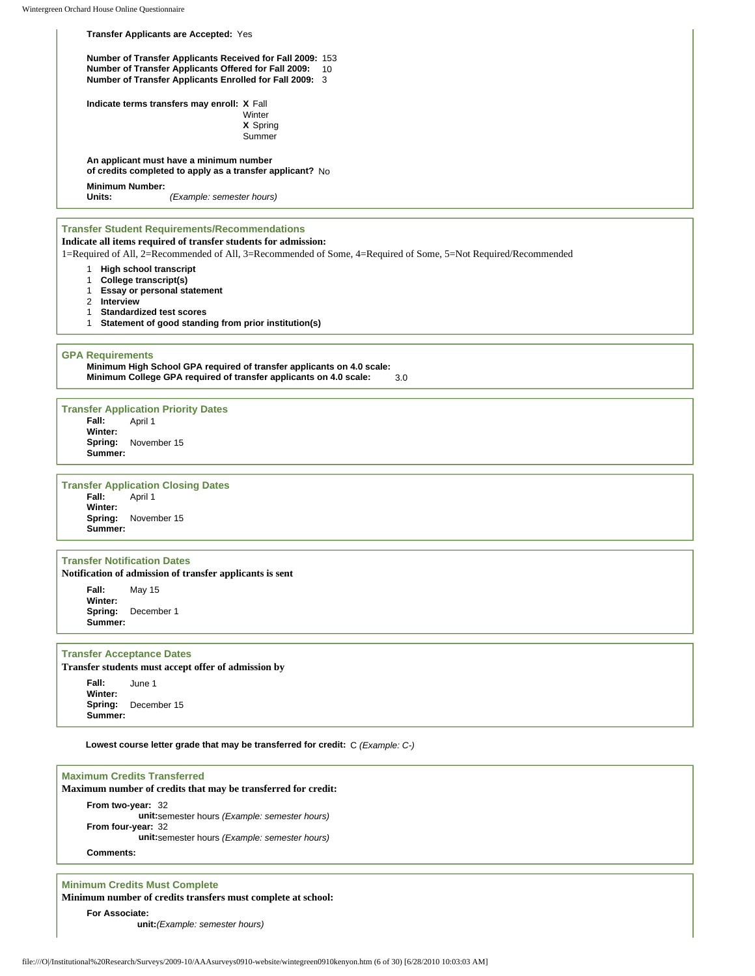## **Transfer Applicants are Accepted:** Yes **Number of Transfer Applicants Received for Fall 2009:** 153 **Number of Transfer Applicants Offered for Fall 2009:** 10

**Number of Transfer Applicants Enrolled for Fall 2009:** 3

**Indicate terms transfers may enroll: X** Fall

**Winter X** Spring **Summer** 

**An applicant must have a minimum number of credits completed to apply as a transfer applicant?** No

**Minimum Number:**

**Units:** *(Example: semester hours)*

### **Transfer Student Requirements/Recommendations Indicate all items required of transfer students for admission:**

1=Required of All, 2=Recommended of All, 3=Recommended of Some, 4=Required of Some, 5=Not Required/Recommended

- 1 **High school transcript**
- 1 **College transcript(s)**
- 1 **Essay or personal statement**
- 2 **Interview**
- 1 **Standardized test scores**
- 1 **Statement of good standing from prior institution(s)**

#### **GPA Requirements**

**Minimum High School GPA required of transfer applicants on 4.0 scale: Minimum College GPA required of transfer applicants on 4.0 scale:** 3.0

#### **Transfer Application Priority Dates**

**Fall:** April 1 **Winter: Spring:** November 15 **Summer:**

**Transfer Application Closing Dates**

**Fall:** April 1 **Winter: Spring:** November 15 **Summer:**

## **Transfer Notification Dates**

**Notification of admission of transfer applicants is sent**

**Fall:** May 15 **Winter: Spring:** December 1 **Summer:**

#### **Transfer Acceptance Dates**

**Transfer students must accept offer of admission by**

**Fall:** June 1 **Winter: Spring:** December 15 **Summer:**

**Lowest course letter grade that may be transferred for credit:** C *(Example: C-)*

### **Maximum Credits Transferred Maximum number of credits that may be transferred for credit:**

**From two-year:** 32 **unit:**semester hours *(Example: semester hours)* **From four-year:** 32 **unit:**semester hours *(Example: semester hours)*

## **Comments:**

## **Minimum Credits Must Complete**

**Minimum number of credits transfers must complete at school:**

**For Associate:**

**unit:***(Example: semester hours)*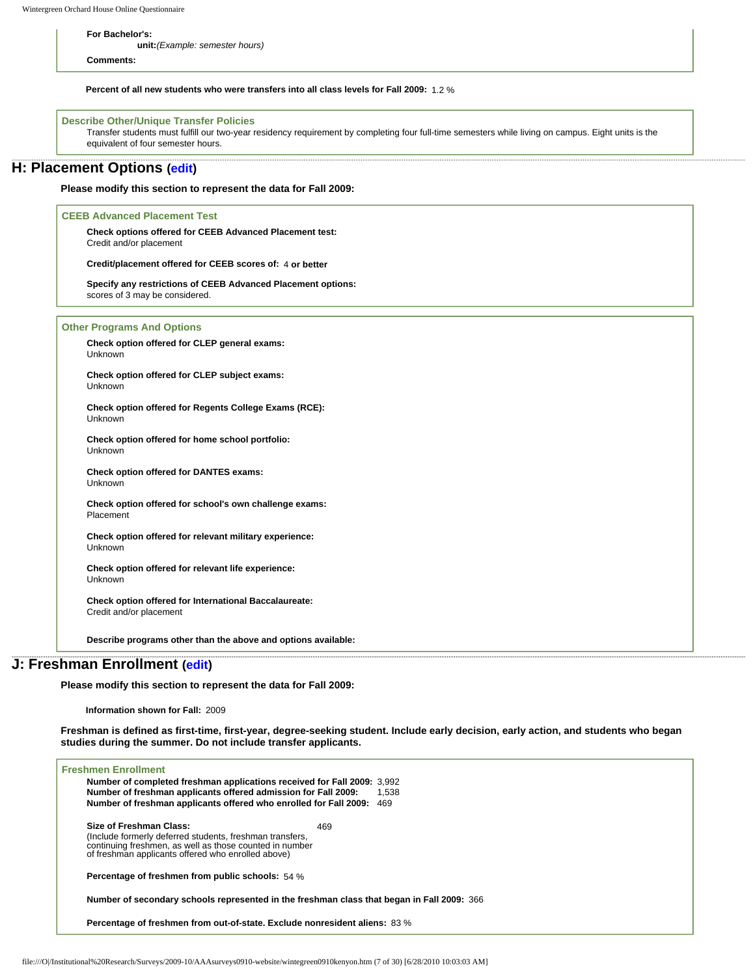**For Bachelor's:**

**unit:***(Example: semester hours)*

**Comments:**

**Percent of all new students who were transfers into all class levels for Fall 2009:** 1.2 %

### **Describe Other/Unique Transfer Policies**

Transfer students must fulfill our two-year residency requirement by completing four full-time semesters while living on campus. Eight units is the equivalent of four semester hours.

## **H: Placement Options ([edit](http://survey.wgoh.com/secure/sectionHView.htm))**

**Please modify this section to represent the data for Fall 2009:** 

#### **CEEB Advanced Placement Test**

**Check options offered for CEEB Advanced Placement test:** Credit and/or placement

**Credit/placement offered for CEEB scores of:** 4 **or better**

**Specify any restrictions of CEEB Advanced Placement options:**  scores of 3 may be considered.

**Other Programs And Options**

**Check option offered for CLEP general exams:** Unknown

**Check option offered for CLEP subject exams:** Unknown

**Check option offered for Regents College Exams (RCE):** Unknown

**Check option offered for home school portfolio:** Unknown

**Check option offered for DANTES exams:** Unknown

**Check option offered for school's own challenge exams:** Placement

**Check option offered for relevant military experience:** Unknown

**Check option offered for relevant life experience:** Unknown

**Check option offered for International Baccalaureate:** Credit and/or placement

**Describe programs other than the above and options available:** 

## **J: Freshman Enrollment [\(edit\)](http://survey.wgoh.com/secure/sectionJView.htm)**

**Please modify this section to represent the data for Fall 2009:** 

**Information shown for Fall:** 2009

**Freshman is defined as first-time, first-year, degree-seeking student. Include early decision, early action, and students who began studies during the summer. Do not include transfer applicants.** 

| <b>Freshmen Enrollment</b><br>Number of completed freshman applications received for Fall 2009: 3.992<br>Number of freshman applicants offered admission for Fall 2009:<br>Number of freshman applicants offered who enrolled for Fall 2009: | 1.538<br>469 |
|----------------------------------------------------------------------------------------------------------------------------------------------------------------------------------------------------------------------------------------------|--------------|
| Size of Freshman Class:<br>469<br>(Include formerly deferred students, freshman transfers,<br>continuing freshmen, as well as those counted in number<br>of freshman applicants offered who enrolled above)                                  |              |
| <b>Percentage of freshmen from public schools:</b> 54 %                                                                                                                                                                                      |              |
| Number of secondary schools represented in the freshman class that began in Fall 2009: 366                                                                                                                                                   |              |
| Percentage of freshmen from out-of-state. Exclude nonresident aliens: 83 %                                                                                                                                                                   |              |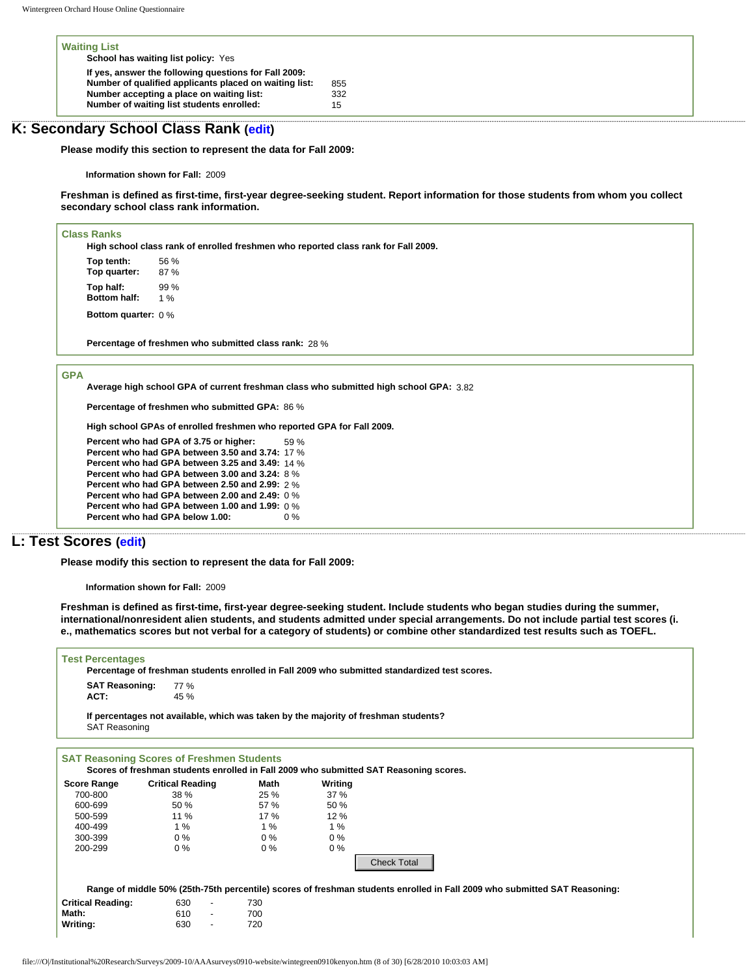| <b>Waiting List</b>                                    |     |
|--------------------------------------------------------|-----|
| School has waiting list policy: Yes                    |     |
| If yes, answer the following questions for Fall 2009:  |     |
| Number of qualified applicants placed on waiting list: | 855 |
| Number accepting a place on waiting list:              | 332 |
| Number of waiting list students enrolled:              | 15  |

## **K: Secondary School Class Rank ([edit](http://survey.wgoh.com/secure/sectionKView.htm))**

**Please modify this section to represent the data for Fall 2009:** 

**Information shown for Fall:** 2009

**Freshman is defined as first-time, first-year degree-seeking student. Report information for those students from whom you collect secondary school class rank information.** 

#### **Class Ranks**

**High school class rank of enrolled freshmen who reported class rank for Fall 2009.**

**Top tenth:** 56 % **Top quarter:** 87 % **Top half:** 99 % **Bottom half:** 1 %

**Bottom quarter:** 0 %

**Percentage of freshmen who submitted class rank:** 28 %

#### **GPA**

**Average high school GPA of current freshman class who submitted high school GPA:** 3.82

**Percentage of freshmen who submitted GPA:** 86 %

**High school GPAs of enrolled freshmen who reported GPA for Fall 2009.**

**Percent who had GPA of 3.75 or higher:** 59 % **Percent who had GPA between 3.50 and 3.74:** 17 % **Percent who had GPA between 3.25 and 3.49:** 14 % **Percent who had GPA between 3.00 and 3.24:** 8 % **Percent who had GPA between 2.50 and 2.99:** 2 % **Percent who had GPA between 2.00 and 2.49:** 0 % **Percent who had GPA between 1.00 and 1.99:** 0 % **Percent who had GPA below 1.00:** 

## **L: Test Scores [\(edit](http://survey.wgoh.com/secure/sectionLView.htm))**

**Please modify this section to represent the data for Fall 2009:** 

**Information shown for Fall:** 2009

**Freshman is defined as first-time, first-year degree-seeking student. Include students who began studies during the summer, international/nonresident alien students, and students admitted under special arrangements. Do not include partial test scores (i. e., mathematics scores but not verbal for a category of students) or combine other standardized test results such as TOEFL.** 

#### **Test Percentages**

|                                   | . Percentage of freshman students enrolled in Fall 2009 who submitted standardized test scores |
|-----------------------------------|------------------------------------------------------------------------------------------------|
| <b>SAT Reasoning:</b> 77%<br>ACT: | 45%                                                                                            |

**If percentages not available, which was taken by the majority of freshman students?** SAT Reasoning

| <b>Score Range</b>       | <b>Critical Reading</b>         | Math  | Writing |                                                                                                                                                 |
|--------------------------|---------------------------------|-------|---------|-------------------------------------------------------------------------------------------------------------------------------------------------|
| 700-800                  | 38 %                            | 25%   | 37%     |                                                                                                                                                 |
| 600-699                  | 50 %                            | 57 %  | 50%     |                                                                                                                                                 |
| 500-599                  | $11\%$                          | 17%   | 12%     |                                                                                                                                                 |
| 400-499                  | 1%                              | 1%    | 1%      |                                                                                                                                                 |
| 300-399                  | $0\%$                           | $0\%$ | $0\%$   |                                                                                                                                                 |
| 200-299                  | $0\%$                           | $0\%$ | $0\%$   |                                                                                                                                                 |
|                          |                                 |       |         | <b>Check Total</b><br>Range of middle 50% (25th-75th percentile) scores of freshman students enrolled in Fall 2009 who submitted SAT Reasoning: |
| <b>Critical Reading:</b> | 630<br>$\overline{\phantom{a}}$ | 730   |         |                                                                                                                                                 |
| Math:                    | 610<br>$\overline{\phantom{a}}$ | 700   |         |                                                                                                                                                 |
| Writing:                 | 630<br>$\overline{\phantom{a}}$ | 720   |         |                                                                                                                                                 |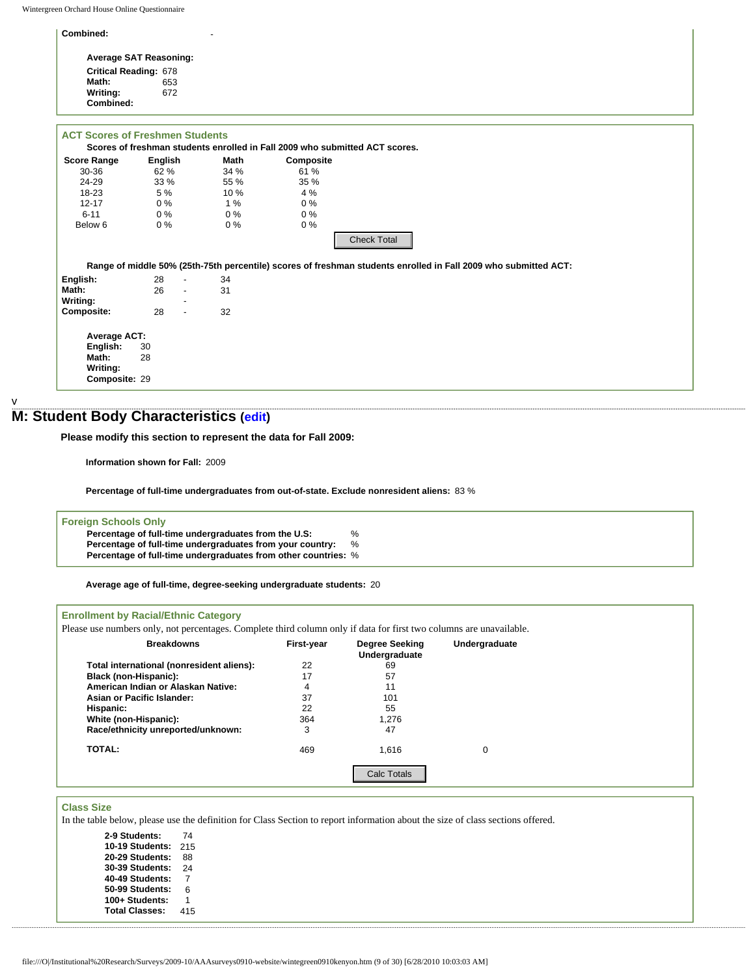| Combined:                              |                               | $\overline{\phantom{a}}$ |                                                                             |  |
|----------------------------------------|-------------------------------|--------------------------|-----------------------------------------------------------------------------|--|
|                                        | <b>Average SAT Reasoning:</b> |                          |                                                                             |  |
| <b>Critical Reading: 678</b>           |                               |                          |                                                                             |  |
| Math:                                  | 653                           |                          |                                                                             |  |
| Writing:                               | 672                           |                          |                                                                             |  |
| Combined:                              |                               |                          |                                                                             |  |
| <b>ACT Scores of Freshmen Students</b> |                               |                          | Scores of freshman students enrolled in Fall 2009 who submitted ACT scores. |  |
| <b>Score Range</b>                     | English                       | <b>Math</b>              | Composite                                                                   |  |
| $30 - 36$                              | 62%                           | 34%                      | 61 %                                                                        |  |
| 24-29                                  | 33%                           | 55 %                     | 35 %                                                                        |  |
| 18-23                                  | 5 %                           | 10 %                     | 4%                                                                          |  |

v

# **M: Student Body Characteristics [\(edit](http://survey.wgoh.com/secure/sectionMView.htm))**

12-17 0 % 1 % 0 % 6-11 0 % 0 % 0 % Below 6 0 % 0 % 0 % 0 %

| <b>Foreign Schools Only</b>                                    |   |
|----------------------------------------------------------------|---|
| Percentage of full-time undergraduates from the U.S:           | % |
| Percentage of full-time undergraduates from your country:      | % |
| Percentage of full-time undergraduates from other countries: % |   |
|                                                                |   |

## **Enrollment by Racial/Ethnic Category**

| Range of middle 50% (25th-75th percentile) scores of freshman students enrolled in Fall 2009 who submitted ACT: |                                                                     |    |                |                                                                                                                                       |                                                                                                                                 |  |
|-----------------------------------------------------------------------------------------------------------------|---------------------------------------------------------------------|----|----------------|---------------------------------------------------------------------------------------------------------------------------------------|---------------------------------------------------------------------------------------------------------------------------------|--|
| English:                                                                                                        | 28                                                                  | 34 |                |                                                                                                                                       |                                                                                                                                 |  |
| Math:                                                                                                           | 26<br>$\blacksquare$                                                | 31 |                |                                                                                                                                       |                                                                                                                                 |  |
| Writing:                                                                                                        |                                                                     |    |                |                                                                                                                                       |                                                                                                                                 |  |
| <b>Composite:</b>                                                                                               | 28<br>$\overline{\phantom{a}}$                                      | 32 |                |                                                                                                                                       |                                                                                                                                 |  |
| Average ACT:                                                                                                    |                                                                     |    |                |                                                                                                                                       |                                                                                                                                 |  |
| English:<br>30                                                                                                  |                                                                     |    |                |                                                                                                                                       |                                                                                                                                 |  |
| Math:<br>28                                                                                                     |                                                                     |    |                |                                                                                                                                       |                                                                                                                                 |  |
| Writing:                                                                                                        |                                                                     |    |                |                                                                                                                                       |                                                                                                                                 |  |
| Composite: 29                                                                                                   |                                                                     |    |                |                                                                                                                                       |                                                                                                                                 |  |
|                                                                                                                 |                                                                     |    |                |                                                                                                                                       |                                                                                                                                 |  |
| : Student Body Characteristics (edit)                                                                           |                                                                     |    |                |                                                                                                                                       |                                                                                                                                 |  |
| Please modify this section to represent the data for Fall 2009:                                                 |                                                                     |    |                |                                                                                                                                       |                                                                                                                                 |  |
|                                                                                                                 | Information shown for Fall: 2009                                    |    |                |                                                                                                                                       |                                                                                                                                 |  |
|                                                                                                                 |                                                                     |    |                | Percentage of full-time undergraduates from out-of-state. Exclude nonresident aliens: 83 %                                            |                                                                                                                                 |  |
|                                                                                                                 |                                                                     |    |                |                                                                                                                                       |                                                                                                                                 |  |
| <b>Foreign Schools Only</b>                                                                                     |                                                                     |    |                |                                                                                                                                       |                                                                                                                                 |  |
|                                                                                                                 | Percentage of full-time undergraduates from the U.S:                |    |                | %                                                                                                                                     |                                                                                                                                 |  |
|                                                                                                                 | Percentage of full-time undergraduates from your country:           |    |                | %                                                                                                                                     |                                                                                                                                 |  |
|                                                                                                                 | Percentage of full-time undergraduates from other countries: %      |    |                |                                                                                                                                       |                                                                                                                                 |  |
|                                                                                                                 |                                                                     |    |                |                                                                                                                                       |                                                                                                                                 |  |
|                                                                                                                 | Average age of full-time, degree-seeking undergraduate students: 20 |    |                |                                                                                                                                       |                                                                                                                                 |  |
|                                                                                                                 |                                                                     |    |                |                                                                                                                                       |                                                                                                                                 |  |
|                                                                                                                 | <b>Breakdowns</b>                                                   |    | First-year     | Please use numbers only, not percentages. Complete third column only if data for first two columns are unavailable.<br>Degree Seeking | Undergraduate                                                                                                                   |  |
|                                                                                                                 |                                                                     |    |                | Undergraduate                                                                                                                         |                                                                                                                                 |  |
|                                                                                                                 | Total international (nonresident aliens):                           |    | 22             | 69                                                                                                                                    |                                                                                                                                 |  |
| <b>Enrollment by Racial/Ethnic Category</b><br><b>Black (non-Hispanic):</b>                                     |                                                                     |    | 17             | 57                                                                                                                                    |                                                                                                                                 |  |
|                                                                                                                 | American Indian or Alaskan Native:                                  |    | $\overline{4}$ | 11                                                                                                                                    |                                                                                                                                 |  |
| Asian or Pacific Islander:                                                                                      |                                                                     |    | 37             | 101                                                                                                                                   |                                                                                                                                 |  |
| Hispanic:                                                                                                       |                                                                     |    | 22             | 55                                                                                                                                    |                                                                                                                                 |  |
| White (non-Hispanic):                                                                                           |                                                                     |    | 364            | 1,276                                                                                                                                 |                                                                                                                                 |  |
|                                                                                                                 | Race/ethnicity unreported/unknown:                                  |    | 3              | 47                                                                                                                                    |                                                                                                                                 |  |
| <b>TOTAL:</b>                                                                                                   |                                                                     |    | 469            | 1,616                                                                                                                                 | $\mathbf 0$                                                                                                                     |  |
|                                                                                                                 |                                                                     |    |                | <b>Calc Totals</b>                                                                                                                    |                                                                                                                                 |  |
|                                                                                                                 |                                                                     |    |                |                                                                                                                                       |                                                                                                                                 |  |
| <b>Class Size</b>                                                                                               |                                                                     |    |                |                                                                                                                                       |                                                                                                                                 |  |
|                                                                                                                 |                                                                     |    |                |                                                                                                                                       | In the table below, please use the definition for Class Section to report information about the size of class sections offered. |  |
| 2-9 Students:                                                                                                   | 74                                                                  |    |                |                                                                                                                                       |                                                                                                                                 |  |
|                                                                                                                 | 10-19 Students: 215                                                 |    |                |                                                                                                                                       |                                                                                                                                 |  |
| 20-29 Students:                                                                                                 | 88                                                                  |    |                |                                                                                                                                       |                                                                                                                                 |  |
| <b>30-39 Students:</b>                                                                                          | 24                                                                  |    |                |                                                                                                                                       |                                                                                                                                 |  |
| 40-49 Students:                                                                                                 | $\overline{7}$                                                      |    |                |                                                                                                                                       |                                                                                                                                 |  |
| 50-99 Students:                                                                                                 | 6                                                                   |    |                |                                                                                                                                       |                                                                                                                                 |  |
| 100+ Students:                                                                                                  | $\mathbf{1}$                                                        |    |                |                                                                                                                                       |                                                                                                                                 |  |
| <b>Total Classes:</b>                                                                                           | 415                                                                 |    |                |                                                                                                                                       |                                                                                                                                 |  |
|                                                                                                                 |                                                                     |    |                |                                                                                                                                       |                                                                                                                                 |  |

## **Class Size**

| 2-9 Students:         | 74  |
|-----------------------|-----|
| 10-19 Students:       | 215 |
| 20-29 Students:       | 88  |
| 30-39 Students:       | 24  |
| 40-49 Students:       | 7   |
| 50-99 Students:       | 6   |
| 100+ Students:        | 1   |
| <b>Total Classes:</b> | 415 |
|                       |     |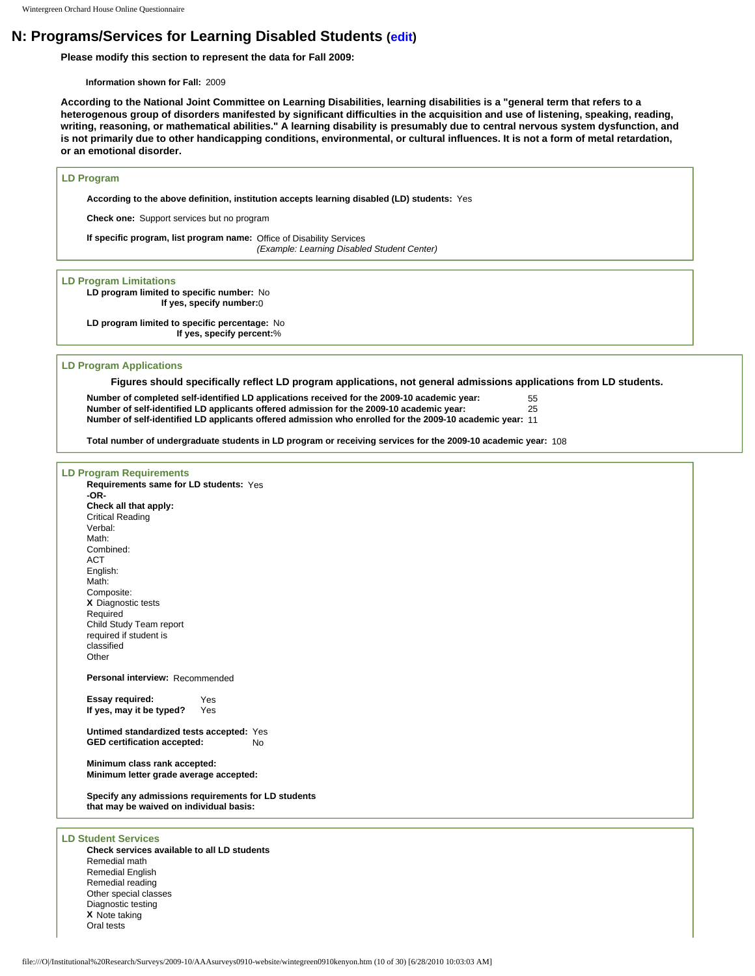## **N: Programs/Services for Learning Disabled Students ([edit\)](http://survey.wgoh.com/secure/sectionNView.htm)**

**Please modify this section to represent the data for Fall 2009:** 

**Information shown for Fall:** 2009

**According to the National Joint Committee on Learning Disabilities, learning disabilities is a "general term that refers to a heterogenous group of disorders manifested by significant difficulties in the acquisition and use of listening, speaking, reading, writing, reasoning, or mathematical abilities." A learning disability is presumably due to central nervous system dysfunction, and is not primarily due to other handicapping conditions, environmental, or cultural influences. It is not a form of metal retardation, or an emotional disorder.** 

#### **LD Program**

**According to the above definition, institution accepts learning disabled (LD) students:** Yes

**Check one:** Support services but no program

**If specific program, list program name:** Office of Disability Services *(Example: Learning Disabled Student Center)*

#### **LD Program Limitations**

**LD program limited to specific number:** No **If yes, specify number:**0

**LD program limited to specific percentage:** No **If yes, specify percent:**%

#### **LD Program Applications**

**Figures should specifically reflect LD program applications, not general admissions applications from LD students.** 

**Number of completed self-identified LD applications received for the 2009-10 academic year:** 55 **Number of self-identified LD applicants offered admission for the 2009-10 academic year:** 25 **Number of self-identified LD applicants offered admission who enrolled for the 2009-10 academic year:** 11

**Total number of undergraduate students in LD program or receiving services for the 2009-10 academic year:** 108

## **LD Program Requirements**

**Requirements same for LD students:** Yes **-OR-Check all that apply:** Critical Reading Verbal: Math: Combined: ACT English: Math: Composite: **X** Diagnostic tests Required Child Study Team report required if student is classified **Other Personal interview:** Recommended **Essay required:** Yes **If yes, may it be typed?** Yes **Untimed standardized tests accepted:** Yes **GED certification accepted:** No **Minimum class rank accepted: Minimum letter grade average accepted:**

**Specify any admissions requirements for LD students that may be waived on individual basis:** 

#### **LD Student Services**

**Check services available to all LD students** Remedial math Remedial English Remedial reading Other special classes Diagnostic testing **X** Note taking Oral tests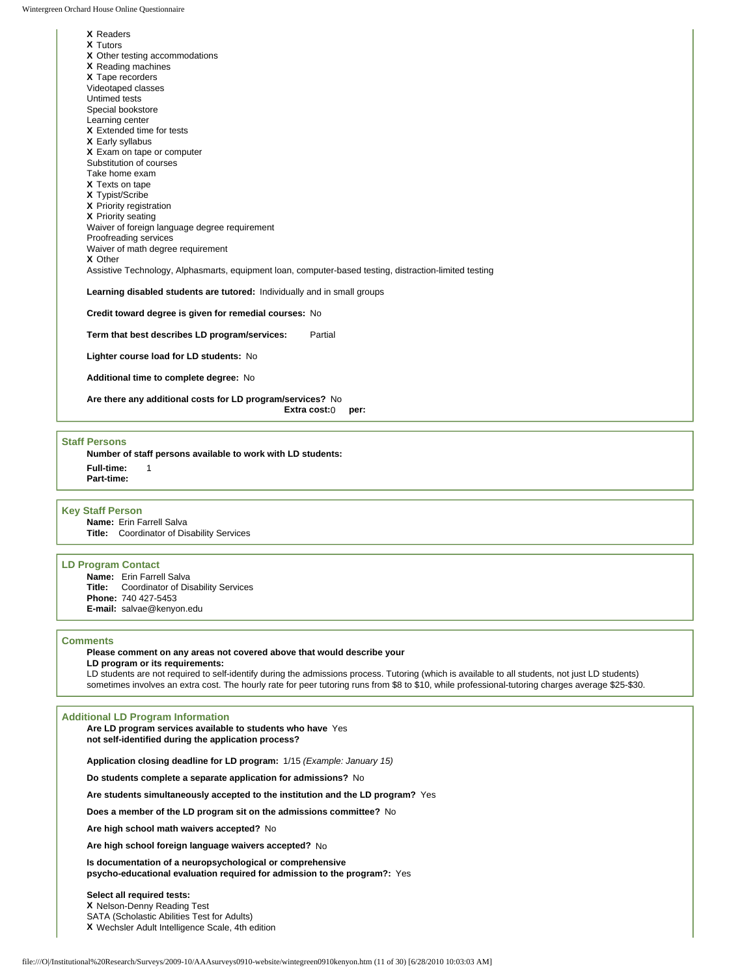**X** Readers

| <b>X</b> Tutors                                                                                        |
|--------------------------------------------------------------------------------------------------------|
| X Other testing accommodations                                                                         |
| X Reading machines                                                                                     |
| X Tape recorders                                                                                       |
| Videotaped classes                                                                                     |
| Untimed tests                                                                                          |
| Special bookstore                                                                                      |
| Learning center                                                                                        |
| X Extended time for tests                                                                              |
| X Early syllabus                                                                                       |
| X Exam on tape or computer                                                                             |
| Substitution of courses                                                                                |
| Take home exam                                                                                         |
| <b>X</b> Texts on tape                                                                                 |
| X Typist/Scribe                                                                                        |
| X Priority registration                                                                                |
| X Priority seating                                                                                     |
| Waiver of foreign language degree requirement                                                          |
| Proofreading services                                                                                  |
| Waiver of math degree requirement<br>X Other                                                           |
|                                                                                                        |
| Assistive Technology, Alphasmarts, equipment loan, computer-based testing, distraction-limited testing |
| Learning disabled students are tutored: Individually and in small groups                               |
| Credit toward degree is given for remedial courses: No                                                 |
| Term that best describes LD program/services:<br>Partial                                               |
| Lighter course load for LD students: No                                                                |

**Additional time to complete degree:** No

**Are there any additional costs for LD program/services?** No

**Extra cost:**0 **per:**

#### **Staff Persons**

**Number of staff persons available to work with LD students: Full-time:** 1 **Part-time:**

#### **Key Staff Person**

**Name:** Erin Farrell Salva **Title:** Coordinator of Disability Services

#### **LD Program Contact**

**Name:** Erin Farrell Salva **Title:** Coordinator of Disability Services **Phone:** 740 427-5453 **E-mail:** salvae@kenyon.edu

#### **Comments**

**Please comment on any areas not covered above that would describe your** 

**LD program or its requirements:** 

LD students are not required to self-identify during the admissions process. Tutoring (which is available to all students, not just LD students) sometimes involves an extra cost. The hourly rate for peer tutoring runs from \$8 to \$10, while professional-tutoring charges average \$25-\$30.

#### **Additional LD Program Information**

**Are LD program services available to students who have**  Yes **not self-identified during the application process?**

**Application closing deadline for LD program:** 1/15 *(Example: January 15)*

**Do students complete a separate application for admissions?** No

**Are students simultaneously accepted to the institution and the LD program?** Yes

**Does a member of the LD program sit on the admissions committee?** No

**Are high school math waivers accepted?** No

**Are high school foreign language waivers accepted?** No

**Is documentation of a neuropsychological or comprehensive psycho-educational evaluation required for admission to the program?:** Yes

## **Select all required tests:**

**X** Nelson-Denny Reading Test

SATA (Scholastic Abilities Test for Adults)

**X** Wechsler Adult Intelligence Scale, 4th edition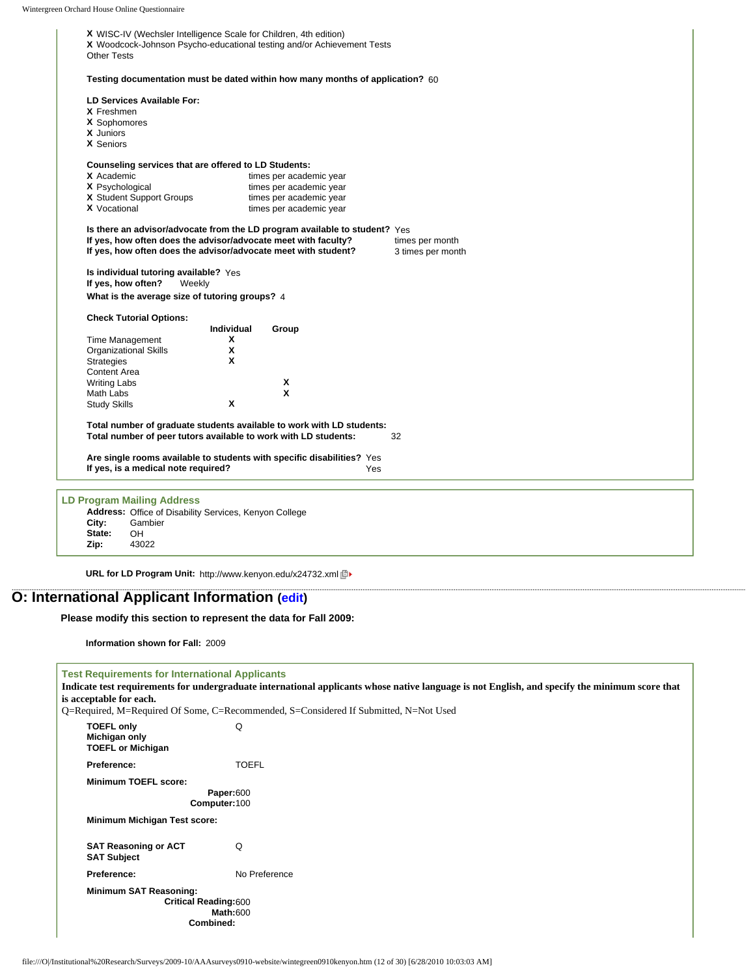| LD Services Available For:<br>X Freshmen |                                                   |                                                                        |                                                                                                                                                                                                                                                                                                                                                                                                                                    |                                                                                                                                                     |
|------------------------------------------|---------------------------------------------------|------------------------------------------------------------------------|------------------------------------------------------------------------------------------------------------------------------------------------------------------------------------------------------------------------------------------------------------------------------------------------------------------------------------------------------------------------------------------------------------------------------------|-----------------------------------------------------------------------------------------------------------------------------------------------------|
|                                          |                                                   |                                                                        |                                                                                                                                                                                                                                                                                                                                                                                                                                    |                                                                                                                                                     |
|                                          |                                                   |                                                                        |                                                                                                                                                                                                                                                                                                                                                                                                                                    |                                                                                                                                                     |
| X Sophomores                             |                                                   |                                                                        |                                                                                                                                                                                                                                                                                                                                                                                                                                    |                                                                                                                                                     |
|                                          |                                                   |                                                                        |                                                                                                                                                                                                                                                                                                                                                                                                                                    |                                                                                                                                                     |
|                                          |                                                   |                                                                        |                                                                                                                                                                                                                                                                                                                                                                                                                                    |                                                                                                                                                     |
|                                          |                                                   |                                                                        |                                                                                                                                                                                                                                                                                                                                                                                                                                    |                                                                                                                                                     |
| X Academic                               |                                                   |                                                                        |                                                                                                                                                                                                                                                                                                                                                                                                                                    |                                                                                                                                                     |
| X Psychological                          |                                                   |                                                                        |                                                                                                                                                                                                                                                                                                                                                                                                                                    |                                                                                                                                                     |
| X Student Support Groups                 |                                                   |                                                                        |                                                                                                                                                                                                                                                                                                                                                                                                                                    |                                                                                                                                                     |
| <b>X</b> Vocational                      |                                                   |                                                                        |                                                                                                                                                                                                                                                                                                                                                                                                                                    |                                                                                                                                                     |
|                                          |                                                   |                                                                        | times per month<br>3 times per month                                                                                                                                                                                                                                                                                                                                                                                               |                                                                                                                                                     |
| If yes, how often?                       |                                                   |                                                                        |                                                                                                                                                                                                                                                                                                                                                                                                                                    |                                                                                                                                                     |
|                                          |                                                   |                                                                        |                                                                                                                                                                                                                                                                                                                                                                                                                                    |                                                                                                                                                     |
|                                          |                                                   |                                                                        |                                                                                                                                                                                                                                                                                                                                                                                                                                    |                                                                                                                                                     |
|                                          | x                                                 |                                                                        |                                                                                                                                                                                                                                                                                                                                                                                                                                    |                                                                                                                                                     |
| <b>Organizational Skills</b>             | X                                                 |                                                                        |                                                                                                                                                                                                                                                                                                                                                                                                                                    |                                                                                                                                                     |
|                                          | X                                                 |                                                                        |                                                                                                                                                                                                                                                                                                                                                                                                                                    |                                                                                                                                                     |
| <b>Content Area</b>                      |                                                   |                                                                        |                                                                                                                                                                                                                                                                                                                                                                                                                                    |                                                                                                                                                     |
| <b>Writing Labs</b>                      |                                                   | X                                                                      |                                                                                                                                                                                                                                                                                                                                                                                                                                    |                                                                                                                                                     |
|                                          |                                                   | X                                                                      |                                                                                                                                                                                                                                                                                                                                                                                                                                    |                                                                                                                                                     |
| <b>Study Skills</b>                      | x                                                 |                                                                        |                                                                                                                                                                                                                                                                                                                                                                                                                                    |                                                                                                                                                     |
|                                          |                                                   |                                                                        |                                                                                                                                                                                                                                                                                                                                                                                                                                    |                                                                                                                                                     |
|                                          |                                                   |                                                                        | 32                                                                                                                                                                                                                                                                                                                                                                                                                                 |                                                                                                                                                     |
|                                          |                                                   | Are single rooms available to students with specific disabilities? Yes |                                                                                                                                                                                                                                                                                                                                                                                                                                    |                                                                                                                                                     |
|                                          |                                                   |                                                                        |                                                                                                                                                                                                                                                                                                                                                                                                                                    |                                                                                                                                                     |
| If yes, is a medical note required?      |                                                   | Yes                                                                    |                                                                                                                                                                                                                                                                                                                                                                                                                                    |                                                                                                                                                     |
|                                          | <b>Check Tutorial Options:</b><br>Time Management | Is individual tutoring available? Yes<br>Weekly<br><b>Individual</b>   | Counseling services that are offered to LD Students:<br>times per academic year<br>times per academic year<br>times per academic year<br>times per academic year<br>If yes, how often does the advisor/advocate meet with faculty?<br>If yes, how often does the advisor/advocate meet with student?<br>What is the average size of tutoring groups? 4<br>Group<br>Total number of peer tutors available to work with LD students: | Is there an advisor/advocate from the LD program available to student? Yes<br>Total number of graduate students available to work with LD students: |

**URL for LD Program Unit:** http://www.kenyon.edu/x24732.xml

# **O: International Applicant Information [\(edit](http://survey.wgoh.com/secure/sectionOView.htm))**

**Please modify this section to represent the data for Fall 2009:** 

**Information shown for Fall:** 2009

| <b>Test Requirements for International Applicants</b><br>Indicate test requirements for undergraduate international applicants whose native language is not English, and specify the minimum score that<br>is acceptable for each.<br>Q=Required, M=Required Of Some, C=Recommended, S=Considered If Submitted, N=Not Used |                                                             |  |  |  |  |
|----------------------------------------------------------------------------------------------------------------------------------------------------------------------------------------------------------------------------------------------------------------------------------------------------------------------------|-------------------------------------------------------------|--|--|--|--|
| <b>TOEFL only</b><br>Michigan only<br><b>TOEFL or Michigan</b>                                                                                                                                                                                                                                                             | Q                                                           |  |  |  |  |
| Preference:                                                                                                                                                                                                                                                                                                                | <b>TOEFL</b>                                                |  |  |  |  |
| <b>Minimum TOEFL score:</b><br><b>Minimum Michigan Test score:</b>                                                                                                                                                                                                                                                         | Paper:600<br>Computer:100                                   |  |  |  |  |
| <b>SAT Reasoning or ACT</b><br><b>SAT Subject</b>                                                                                                                                                                                                                                                                          | Q                                                           |  |  |  |  |
| Preference:                                                                                                                                                                                                                                                                                                                | No Preference                                               |  |  |  |  |
| Minimum SAT Reasoning:                                                                                                                                                                                                                                                                                                     | <b>Critical Reading:600</b><br><b>Math:600</b><br>Combined: |  |  |  |  |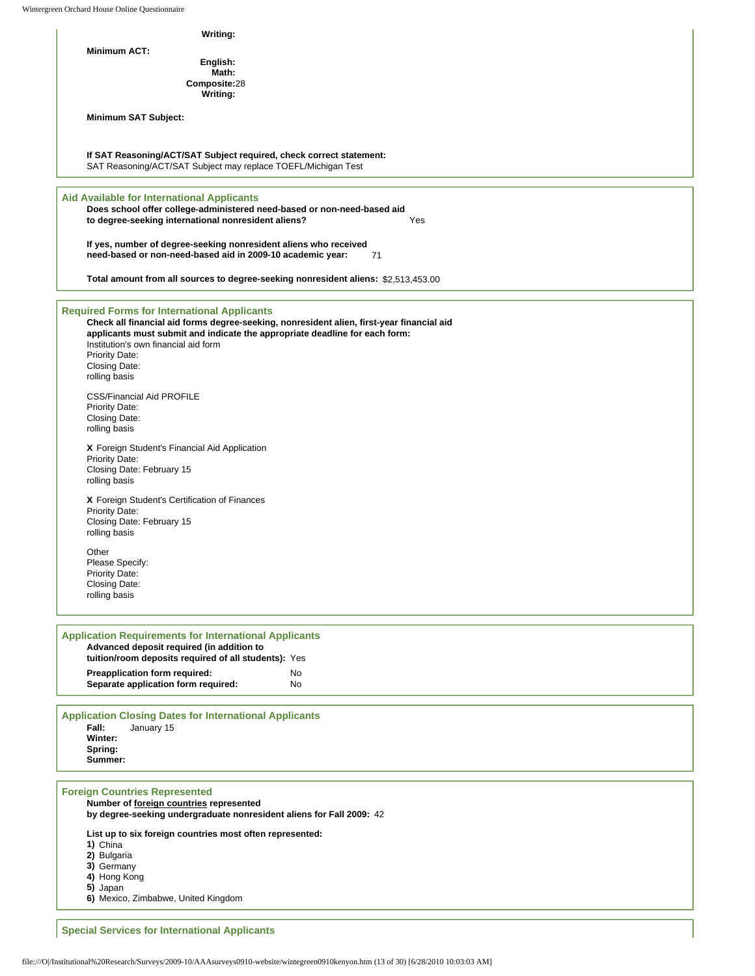Wintergr

| Writing:                                                                                                                                                                                                                                                                                                                          |                        |
|-----------------------------------------------------------------------------------------------------------------------------------------------------------------------------------------------------------------------------------------------------------------------------------------------------------------------------------|------------------------|
| Minimum ACT:                                                                                                                                                                                                                                                                                                                      |                        |
| English:<br>Math:                                                                                                                                                                                                                                                                                                                 |                        |
| Composite:28<br>Writing:                                                                                                                                                                                                                                                                                                          |                        |
| Minimum SAT Subject:                                                                                                                                                                                                                                                                                                              |                        |
|                                                                                                                                                                                                                                                                                                                                   |                        |
| If SAT Reasoning/ACT/SAT Subject required, check correct statement:<br>SAT Reasoning/ACT/SAT Subject may replace TOEFL/Michigan Test                                                                                                                                                                                              |                        |
| <b>Aid Available for International Applicants</b><br>Does school offer college-administered need-based or non-need-based aid<br>to degree-seeking international nonresident aliens?                                                                                                                                               | Yes                    |
| If yes, number of degree-seeking nonresident aliens who received<br>need-based or non-need-based aid in 2009-10 academic year:                                                                                                                                                                                                    | 71                     |
| Total amount from all sources to degree-seeking nonresident aliens: \$2,513,453.00                                                                                                                                                                                                                                                |                        |
| <b>Required Forms for International Applicants</b><br>Check all financial aid forms degree-seeking, nonresident alien, first-year financial aid<br>applicants must submit and indicate the appropriate deadline for each form:<br>Institution's own financial aid form<br><b>Priority Date:</b><br>Closing Date:<br>rolling basis |                        |
| <b>CSS/Financial Aid PROFILE</b><br><b>Priority Date:</b><br>Closing Date:<br>rolling basis                                                                                                                                                                                                                                       |                        |
| X Foreign Student's Financial Aid Application<br><b>Priority Date:</b><br>Closing Date: February 15<br>rolling basis                                                                                                                                                                                                              |                        |
| X Foreign Student's Certification of Finances<br><b>Priority Date:</b><br>Closing Date: February 15<br>rolling basis                                                                                                                                                                                                              |                        |
| Other<br>Please Specify:<br><b>Priority Date:</b><br>Closing Date:<br>rolling basis                                                                                                                                                                                                                                               |                        |
| <b>Application Requirements for International Applicants</b><br>Advanced deposit required (in addition to<br>tuition/room deposits required of all students): Yes                                                                                                                                                                 |                        |
| Preapplication form required:<br>Separate application form required:                                                                                                                                                                                                                                                              | <b>No</b><br><b>No</b> |
| <b>Application Closing Dates for International Applicants</b><br>Fall:<br>January 15<br>Winter:<br>Spring:                                                                                                                                                                                                                        |                        |

**by degree-seeking undergraduate nonresident aliens for Fall 2009:** 42

**List up to six foreign countries most often represented:**

**1)** China

**2)** Bulgaria

- **3)** Germany
- **4)** Hong Kong
- **5)** Japan

**6)** Mexico, Zimbabwe, United Kingdom

**Special Services for International Applicants**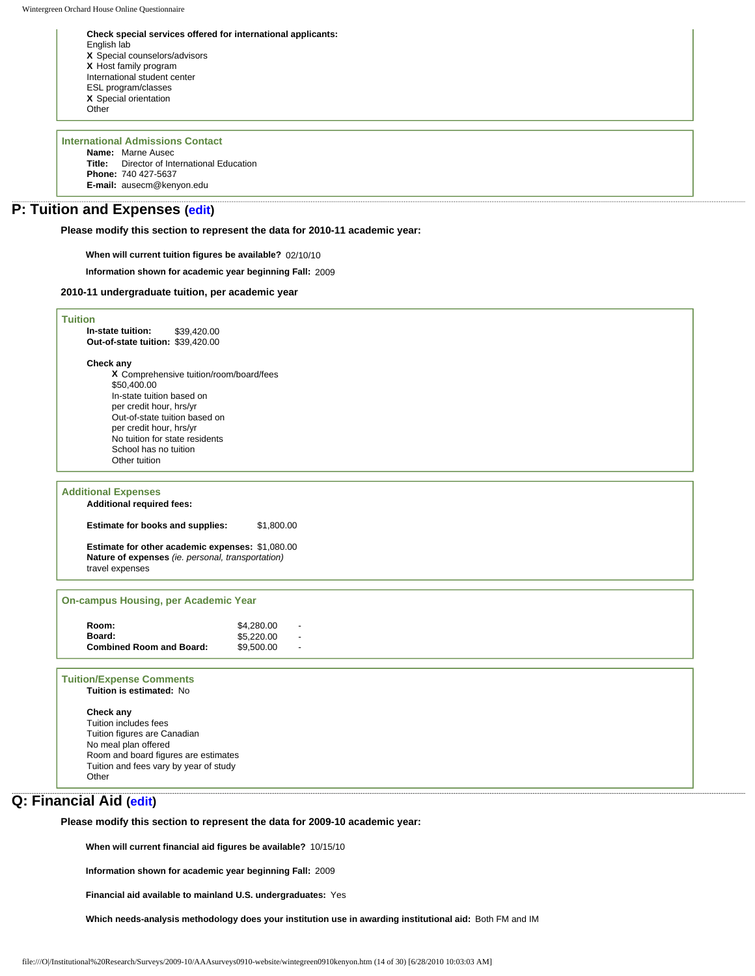**Check special services offered for international applicants:** English lab **X** Special counselors/advisors **X** Host family program International student center ESL program/classes **X** Special orientation **Other** 

## **International Admissions Contact Name:** Marne Ausec **Title:** Director of International Education

**Phone:** 740 427-5637 **E-mail:** ausecm@kenyon.edu

# **P: Tuition and Expenses [\(edit\)](http://survey.wgoh.com/secure/sectionPView.htm)**

**Please modify this section to represent the data for 2010-11 academic year:** 

**When will current tuition figures be available?** 02/10/10

**Information shown for academic year beginning Fall:** 2009

#### **2010-11 undergraduate tuition, per academic year**

### **Tuition**

**In-state tuition:** \$39,420.00 **Out-of-state tuition:** \$39,420.00

### **Check any**

**X** Comprehensive tuition/room/board/fees \$50,400.00 In-state tuition based on per credit hour, hrs/yr Out-of-state tuition based on per credit hour, hrs/yr No tuition for state residents School has no tuition Other tuition

### **Additional Expenses**

**Additional required fees:**

**Estimate for books and supplies:** \$1,800.00

**Estimate for other academic expenses:** \$1,080.00 **Nature of expenses** *(ie. personal, transportation)* travel expenses

#### **On-campus Housing, per Academic Year**

| Room:                           | \$4.280.00 |  |
|---------------------------------|------------|--|
| Board:                          | \$5.220.00 |  |
| <b>Combined Room and Board:</b> | \$9,500.00 |  |

## **Tuition/Expense Comments**

**Tuition is estimated:** No

## **Check any**

Tuition includes fees Tuition figures are Canadian No meal plan offered Room and board figures are estimates Tuition and fees vary by year of study Other

## **Q: Financial Aid ([edit\)](http://survey.wgoh.com/secure/sectionQView.htm)**

**Please modify this section to represent the data for 2009-10 academic year:** 

**When will current financial aid figures be available?** 10/15/10

**Information shown for academic year beginning Fall:** 2009

**Financial aid available to mainland U.S. undergraduates:** Yes

**Which needs-analysis methodology does your institution use in awarding institutional aid:** Both FM and IM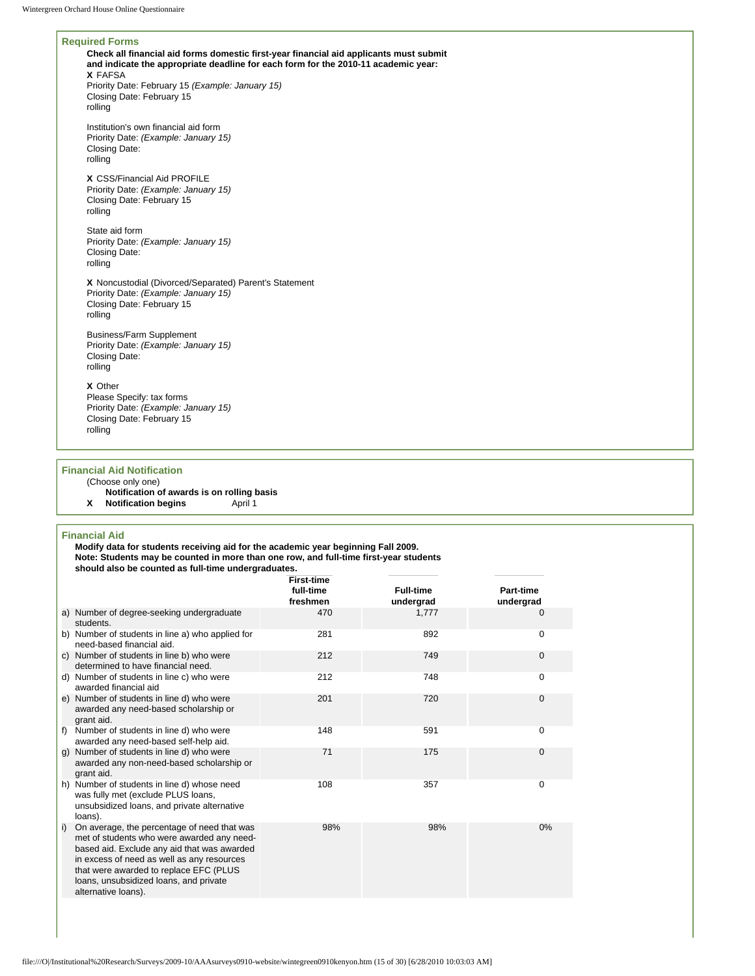## **Required Forms Check all financial aid forms domestic first-year financial aid applicants must submit and indicate the appropriate deadline for each form for the 2010-11 academic year: X** FAFSA Priority Date: February 15 *(Example: January 15)* Closing Date: February 15 rolling Institution's own financial aid form Priority Date: *(Example: January 15)* Closing Date: rolling **X** CSS/Financial Aid PROFILE Priority Date: *(Example: January 15)* Closing Date: February 15 rolling State aid form Priority Date: *(Example: January 15)* Closing Date: rolling **X** Noncustodial (Divorced/Separated) Parent's Statement Priority Date: *(Example: January 15)* Closing Date: February 15 rolling Business/Farm Supplement Priority Date: *(Example: January 15)* Closing Date: rolling

## **X** Other

Please Specify: tax forms Priority Date: *(Example: January 15)* Closing Date: February 15 rolling

#### **Financial Aid Notification**

## (Choose only one)

- **Notification of awards is on rolling basis**
- **X** Notification begins

### **Financial Aid**

**Modify data for students receiving aid for the academic year beginning Fall 2009. Note: Students may be counted in more than one row, and full-time first-year students should also be counted as full-time undergraduates.** 

|    |                                                                                                                                                                                                                                                                                                   | <b>First-time</b><br>full-time<br>freshmen | <b>Full-time</b><br>undergrad | Part-time<br>undergrad |
|----|---------------------------------------------------------------------------------------------------------------------------------------------------------------------------------------------------------------------------------------------------------------------------------------------------|--------------------------------------------|-------------------------------|------------------------|
|    | a) Number of degree-seeking undergraduate<br>students.                                                                                                                                                                                                                                            | 470                                        | 1,777                         | $\Omega$               |
|    | b) Number of students in line a) who applied for<br>need-based financial aid.                                                                                                                                                                                                                     | 281                                        | 892                           | $\Omega$               |
| C) | Number of students in line b) who were<br>determined to have financial need.                                                                                                                                                                                                                      | 212                                        | 749                           | $\mathbf 0$            |
| d) | Number of students in line c) who were<br>awarded financial aid                                                                                                                                                                                                                                   | 212                                        | 748                           | $\Omega$               |
|    | e) Number of students in line d) who were<br>awarded any need-based scholarship or<br>grant aid.                                                                                                                                                                                                  | 201                                        | 720                           | $\Omega$               |
| f) | Number of students in line d) who were<br>awarded any need-based self-help aid.                                                                                                                                                                                                                   | 148                                        | 591                           | $\Omega$               |
| g) | Number of students in line d) who were<br>awarded any non-need-based scholarship or<br>grant aid.                                                                                                                                                                                                 | 71                                         | 175                           | $\Omega$               |
| h) | Number of students in line d) whose need<br>was fully met (exclude PLUS loans,<br>unsubsidized loans, and private alternative<br>loans).                                                                                                                                                          | 108                                        | 357                           | 0                      |
| i) | On average, the percentage of need that was<br>met of students who were awarded any need-<br>based aid. Exclude any aid that was awarded<br>in excess of need as well as any resources<br>that were awarded to replace EFC (PLUS<br>loans, unsubsidized loans, and private<br>alternative loans). | 98%                                        | 98%                           | 0%                     |
|    |                                                                                                                                                                                                                                                                                                   |                                            |                               |                        |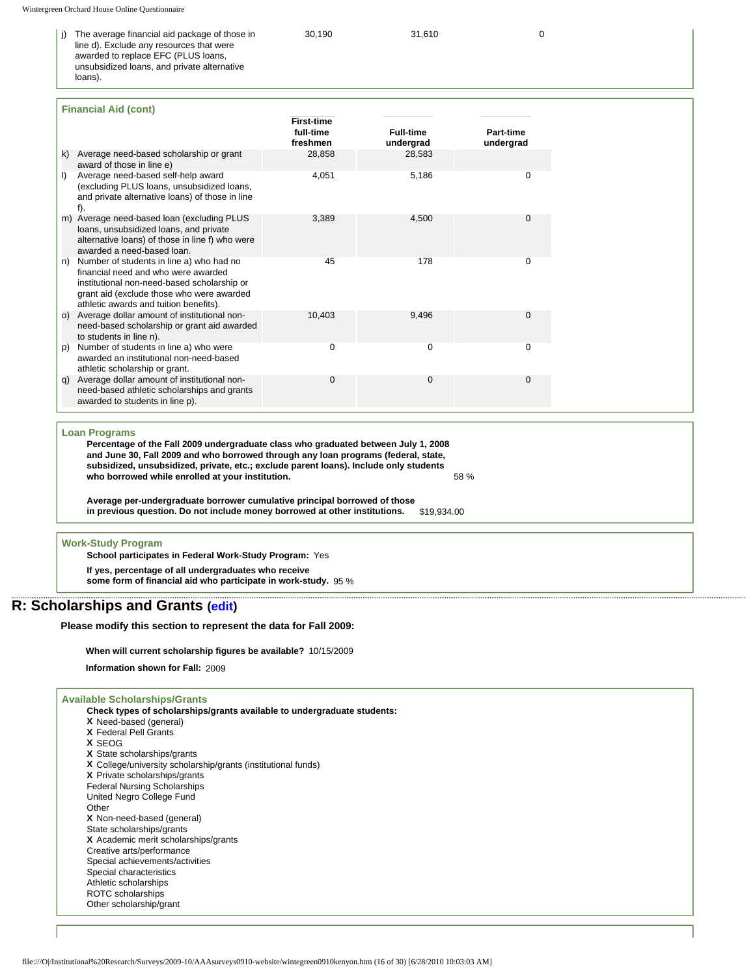loans).

| i) The average financial aid package of those in | 30.190 | 31.610 |  |
|--------------------------------------------------|--------|--------|--|
| line d). Exclude any resources that were         |        |        |  |
| awarded to replace EFC (PLUS loans,              |        |        |  |
| unsubsidized loans, and private alternative      |        |        |  |

**Financial Aid (cont) First-time full-time freshmen**<br>28.858 **Full-time undergrad Part-time undergrad**  k) Average need-based scholarship or grant award of those in line e) 28,583 l) Average need-based self-help award (excluding PLUS loans, unsubsidized loans, and private alternative loans) of those in line f). 4,051 5,186 0 m) Average need-based loan (excluding PLUS loans, unsubsidized loans, and private alternative loans) of those in line f) who were awarded a need-based loan. 3,389 4,500 0 n) Number of students in line a) who had no financial need and who were awarded institutional non-need-based scholarship or grant aid (exclude those who were awarded athletic awards and tuition benefits). 45 178 0 o) Average dollar amount of institutional nonneed-based scholarship or grant aid awarded to students in line n). 10,403 9,496 0 p) Number of students in line a) who were awarded an institutional non-need-based athletic scholarship or grant. 0 0 0 q) Average dollar amount of institutional nonneed-based athletic scholarships and grants awarded to students in line p). 0 0 0

#### **Loan Programs**

**Percentage of the Fall 2009 undergraduate class who graduated between July 1, 2008 and June 30, Fall 2009 and who borrowed through any loan programs (federal, state, subsidized, unsubsidized, private, etc.; exclude parent loans). Include only students who borrowed while enrolled at your institution.** 58 %

**Average per-undergraduate borrower cumulative principal borrowed of those**  in previous question. Do not include money borrowed at other institutions.

#### **Work-Study Program**

**School participates in Federal Work-Study Program:** Yes

**If yes, percentage of all undergraduates who receive** 

**some form of financial aid who participate in work-study.** 95 %

## **R: Scholarships and Grants [\(edit](http://survey.wgoh.com/secure/sectionRView.htm))**

**Please modify this section to represent the data for Fall 2009:** 

**When will current scholarship figures be available?** 10/15/2009

**Information shown for Fall:** 2009

### **Available Scholarships/Grants**

**Check types of scholarships/grants available to undergraduate students:**

- **X** Need-based (general)
- **X** Federal Pell Grants
- **X** SEOG
- **X** State scholarships/grants **X** College/university scholarship/grants (institutional funds)
- **X** Private scholarships/grants
- Federal Nursing Scholarships
- United Negro College Fund
- **Other**
- **X** Non-need-based (general)
- State scholarships/grants
- **X** Academic merit scholarships/grants Creative arts/performance
- Special achievements/activities
- Special characteristics
- Athletic scholarships
- ROTC scholarships
- Other scholarship/grant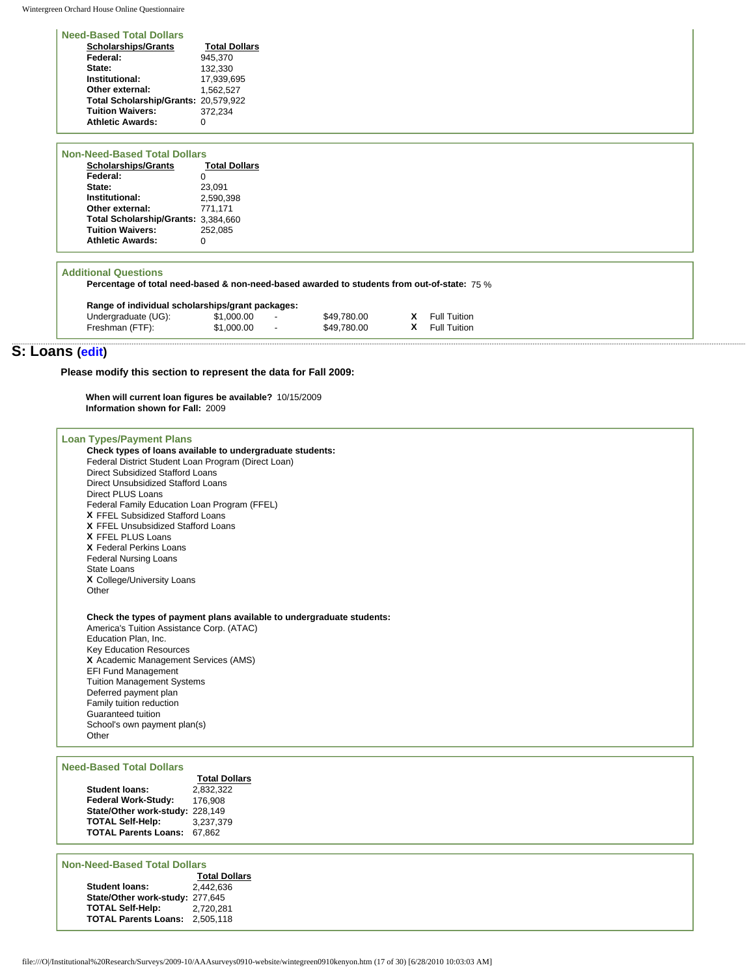Wintergreen Orchard House Online Questionnaire

## **Need-Based Total Dollars**

| <b>Scholarships/Grants</b>           | <b>Total Dollars</b> |
|--------------------------------------|----------------------|
| Federal:                             | 945.370              |
| State:                               | 132.330              |
| Institutional:                       | 17.939.695           |
| Other external:                      | 1.562.527            |
| Total Scholarship/Grants: 20,579,922 |                      |
| <b>Tuition Waivers:</b>              | 372.234              |
| <b>Athletic Awards:</b>              | n                    |
|                                      |                      |

| <b>Non-Need-Based Total Dollars</b> |                      |
|-------------------------------------|----------------------|
| <b>Scholarships/Grants</b>          | <b>Total Dollars</b> |
| Federal:                            |                      |
| State:                              | 23.091               |
| Institutional:                      | 2.590.398            |
| Other external:                     | 771.171              |
| Total Scholarship/Grants: 3.384.660 |                      |
| <b>Tuition Waivers:</b>             | 252.085              |
| <b>Athletic Awards:</b>             |                      |

### **Additional Questions**

**Percentage of total need-based & non-need-based awarded to students from out-of-state:** 75 %

|  | Range of individual scholarships/grant packages: |  |
|--|--------------------------------------------------|--|
|  |                                                  |  |

| Undergraduate (UG): | \$1,000.00 | \$49,780.00 | <b>X</b> Full Tuition |
|---------------------|------------|-------------|-----------------------|
| Freshman (FTF):     | \$1,000.00 | \$49.780.00 | <b>X</b> Full Tuition |

# **S: Loans ([edit\)](http://survey.wgoh.com/secure/sectionSView.htm)**

**Please modify this section to represent the data for Fall 2009:** 

**When will current loan figures be available?** 10/15/2009 **Information shown for Fall:** 2009

| <b>Loan Types/Payment Plans</b>                                                                                                                                                                                                                                                                                                                                                                             |  |
|-------------------------------------------------------------------------------------------------------------------------------------------------------------------------------------------------------------------------------------------------------------------------------------------------------------------------------------------------------------------------------------------------------------|--|
| Check types of loans available to undergraduate students:<br>Federal District Student Loan Program (Direct Loan)                                                                                                                                                                                                                                                                                            |  |
| <b>Direct Subsidized Stafford Loans</b>                                                                                                                                                                                                                                                                                                                                                                     |  |
| Direct Unsubsidized Stafford Loans                                                                                                                                                                                                                                                                                                                                                                          |  |
| Direct PLUS Loans                                                                                                                                                                                                                                                                                                                                                                                           |  |
| Federal Family Education Loan Program (FFEL)                                                                                                                                                                                                                                                                                                                                                                |  |
| X FFEL Subsidized Stafford Loans                                                                                                                                                                                                                                                                                                                                                                            |  |
| X FFEL Unsubsidized Stafford Loans                                                                                                                                                                                                                                                                                                                                                                          |  |
| X FFEL PLUS Loans                                                                                                                                                                                                                                                                                                                                                                                           |  |
| X Federal Perkins Loans                                                                                                                                                                                                                                                                                                                                                                                     |  |
| <b>Federal Nursing Loans</b>                                                                                                                                                                                                                                                                                                                                                                                |  |
| State Loans                                                                                                                                                                                                                                                                                                                                                                                                 |  |
| X College/University Loans                                                                                                                                                                                                                                                                                                                                                                                  |  |
| Other                                                                                                                                                                                                                                                                                                                                                                                                       |  |
| Check the types of payment plans available to undergraduate students:<br>America's Tuition Assistance Corp. (ATAC)<br>Education Plan, Inc.<br><b>Key Education Resources</b><br>X Academic Management Services (AMS)<br><b>EFI Fund Management</b><br><b>Tuition Management Systems</b><br>Deferred payment plan<br>Family tuition reduction<br>Guaranteed tuition<br>School's own payment plan(s)<br>Other |  |
| <b>Need-Based Total Dollars</b>                                                                                                                                                                                                                                                                                                                                                                             |  |
| <b>Total Dollars</b>                                                                                                                                                                                                                                                                                                                                                                                        |  |
| 0.00000<br>.                                                                                                                                                                                                                                                                                                                                                                                                |  |

|                                 | Total Doll |
|---------------------------------|------------|
| <b>Student loans:</b>           | 2.832.322  |
| Federal Work-Study:             | 176.908    |
| State/Other work-study: 228.149 |            |
| <b>TOTAL Self-Help:</b>         | 3.237.379  |
| <b>TOTAL Parents Loans:</b>     | 67.862     |
|                                 |            |

## **Non-Need-Based Total Dollars**

|                                 | <b>Total Dollars</b> |
|---------------------------------|----------------------|
| <b>Student loans:</b>           | 2.442.636            |
| State/Other work-study: 277.645 |                      |
| <b>TOTAL Self-Help:</b>         | 2,720,281            |
| <b>TOTAL Parents Loans:</b>     | 2,505,118            |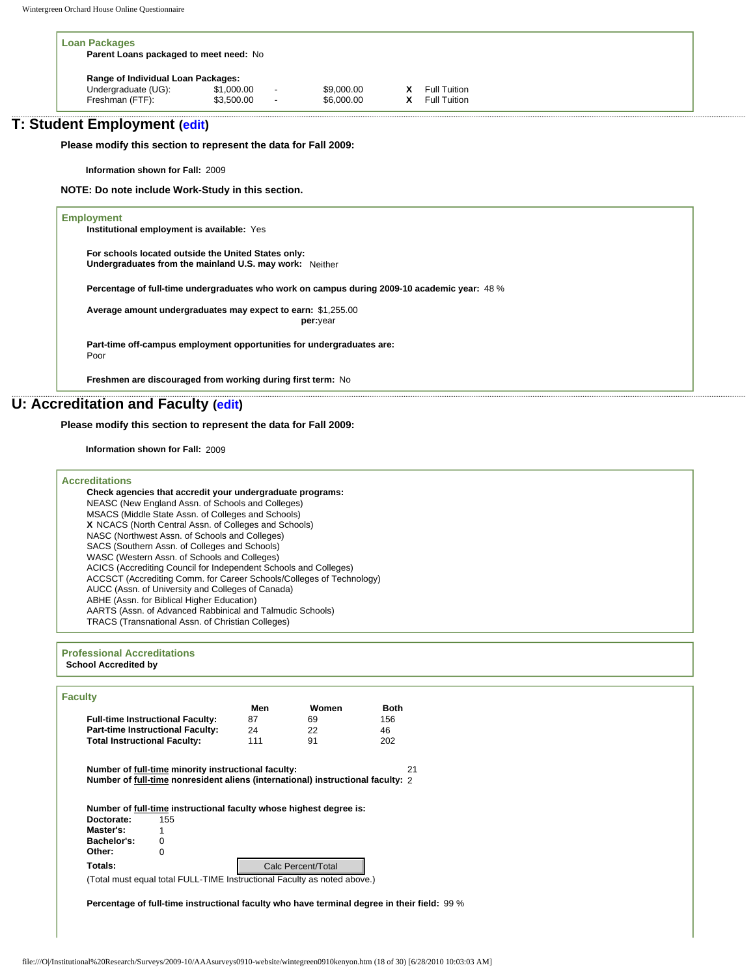| <b>Loan Packages</b><br>Parent Loans packaged to meet need: No |            |                          |            |  |              |  |
|----------------------------------------------------------------|------------|--------------------------|------------|--|--------------|--|
| Range of Individual Loan Packages:                             |            |                          |            |  |              |  |
| Undergraduate (UG):                                            | \$1,000.00 | $\overline{\phantom{a}}$ | \$9,000.00 |  | Full Tuition |  |
| Freshman (FTF):                                                | \$3,500.00 | $\overline{a}$           | \$6,000.00 |  | Full Tuition |  |

# **T: Student Employment [\(edit](http://survey.wgoh.com/secure/sectionTView.htm))**

**Please modify this section to represent the data for Fall 2009:** 

**Information shown for Fall:** 2009

**NOTE: Do note include Work-Study in this section.** 

# **Employment Institutional employment is available:** Yes **For schools located outside the United States only: Undergraduates from the mainland U.S. may work:** Neither **Percentage of full-time undergraduates who work on campus during 2009-10 academic year:** 48 % **Average amount undergraduates may expect to earn:** \$1,255.00 **per:** year **Part-time off-campus employment opportunities for undergraduates are:** Poor **Freshmen are discouraged from working during first term:** No

# **U: Accreditation and Faculty ([edit\)](http://survey.wgoh.com/secure/sectionUView.htm)**

## **Please modify this section to represent the data for Fall 2009:**

**Information shown for Fall:** 2009

| <b>Accreditations</b>                                                |
|----------------------------------------------------------------------|
| Check agencies that accredit your undergraduate programs:            |
| NEASC (New England Assn. of Schools and Colleges)                    |
| MSACS (Middle State Assn. of Colleges and Schools)                   |
| X NCACS (North Central Assn. of Colleges and Schools)                |
| NASC (Northwest Assn. of Schools and Colleges)                       |
| SACS (Southern Assn. of Colleges and Schools)                        |
| WASC (Western Assn. of Schools and Colleges)                         |
| ACICS (Accrediting Council for Independent Schools and Colleges)     |
| ACCSCT (Accrediting Comm. for Career Schools/Colleges of Technology) |
| AUCC (Assn. of University and Colleges of Canada)                    |
| ABHE (Assn. for Biblical Higher Education)                           |
| AARTS (Assn. of Advanced Rabbinical and Talmudic Schools)            |
| TRACS (Transnational Assn. of Christian Colleges)                    |
|                                                                      |
|                                                                      |

#### **Professional Accreditations School Accredited by**

|                                     |                                                                                 | Men | Women              | <b>Both</b> |  |
|-------------------------------------|---------------------------------------------------------------------------------|-----|--------------------|-------------|--|
|                                     | <b>Full-time Instructional Faculty:</b>                                         | 87  | 69                 | 156         |  |
|                                     | <b>Part-time Instructional Faculty:</b>                                         | 24  | 22                 | 46          |  |
| <b>Total Instructional Faculty:</b> |                                                                                 | 111 | 91                 | 202         |  |
|                                     | Number of full-time minority instructional faculty:                             |     |                    | 21          |  |
|                                     |                                                                                 |     |                    |             |  |
|                                     | Number of full-time nonresident aliens (international) instructional faculty: 2 |     |                    |             |  |
|                                     |                                                                                 |     |                    |             |  |
|                                     |                                                                                 |     |                    |             |  |
| Doctorate:                          | Number of full-time instructional faculty whose highest degree is:              |     |                    |             |  |
| Master's:                           | 155                                                                             |     |                    |             |  |
| Bachelor's:                         | 0                                                                               |     |                    |             |  |
| Other:                              | 0                                                                               |     |                    |             |  |
| Totals:                             |                                                                                 |     | Calc Percent/Total |             |  |
|                                     | (Total must equal total FULL-TIME Instructional Faculty as noted above.)        |     |                    |             |  |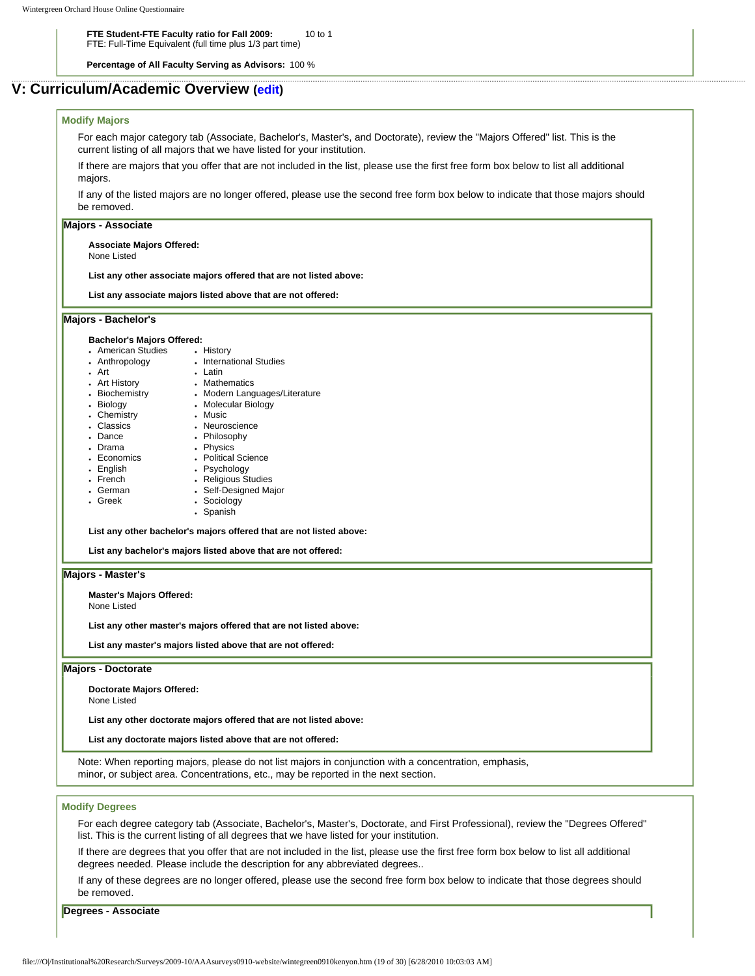**FTE Student-FTE Faculty ratio for Fall 2009:** FTE: Full-Time Equivalent (full time plus 1/3 part time) 10 to 1

**Percentage of All Faculty Serving as Advisors:** 100 %

## **V: Curriculum/Academic Overview ([edit\)](http://survey.wgoh.com/secure/sectionVView.htm)**

## **Modify Majors**

For each major category tab (Associate, Bachelor's, Master's, and Doctorate), review the "Majors Offered" list. This is the current listing of all majors that we have listed for your institution.

If there are majors that you offer that are not included in the list, please use the first free form box below to list all additional majors.

If any of the listed majors are no longer offered, please use the second free form box below to indicate that those majors should be removed.

## **Majors - Associate**

**Associate Majors Offered:**

None Listed

**List any other associate majors offered that are not listed above:** 

**List any associate majors listed above that are not offered:** 

### **Majors - Bachelor's**

#### **Bachelor's Majors Offered:**

- American Studies • History
- Anthropology • International Studies
- Art
- Latin • Mathematics
- Art History • Biochemistry
	- Modern Languages/Literature
- Biology • Molecular Biology • Music
- Chemistry
- Classics • Neuroscience
- Dance • Philosophy
- Drama . Physics • Political Science
- Economics
- English • Psychology
- French
- German • Religious Studies • Self-Designed Major
- Greek
- Sociology • Spanish

**List any other bachelor's majors offered that are not listed above:** 

**List any bachelor's majors listed above that are not offered:** 

#### **Majors - Master's**

**Master's Majors Offered:**

None Listed

**List any other master's majors offered that are not listed above:** 

**List any master's majors listed above that are not offered:** 

#### **Majors - Doctorate**

**Doctorate Majors Offered:** None Listed

**List any other doctorate majors offered that are not listed above:** 

#### **List any doctorate majors listed above that are not offered:**

Note: When reporting majors, please do not list majors in conjunction with a concentration, emphasis, minor, or subject area. Concentrations, etc., may be reported in the next section.

## **Modify Degrees**

For each degree category tab (Associate, Bachelor's, Master's, Doctorate, and First Professional), review the "Degrees Offered" list. This is the current listing of all degrees that we have listed for your institution.

If there are degrees that you offer that are not included in the list, please use the first free form box below to list all additional degrees needed. Please include the description for any abbreviated degrees..

If any of these degrees are no longer offered, please use the second free form box below to indicate that those degrees should be removed.

**Degrees - Associate**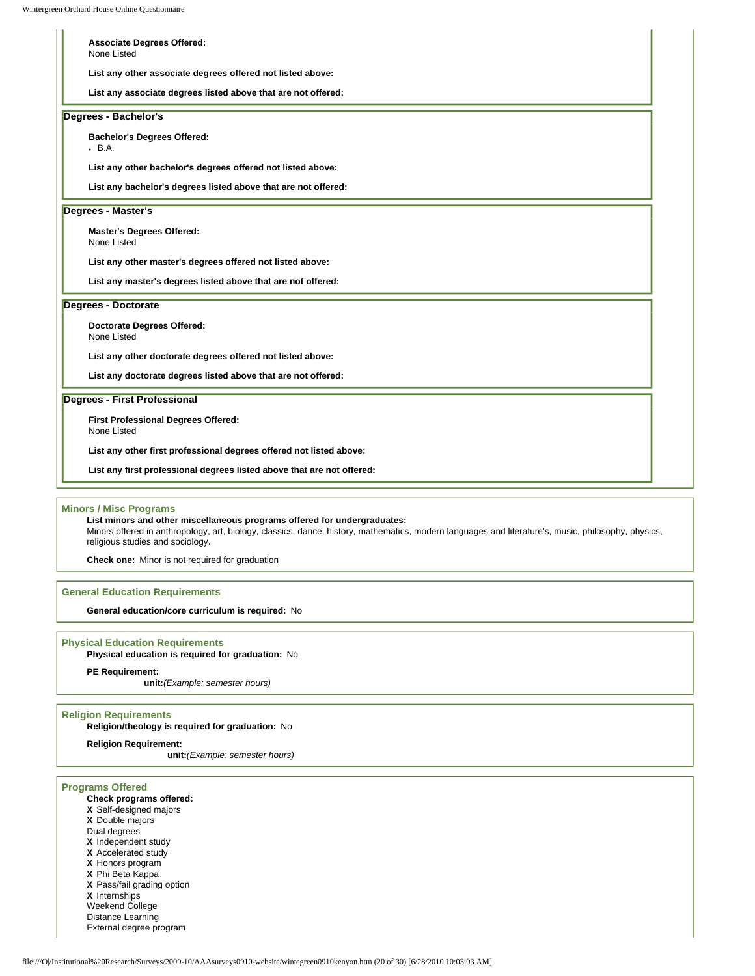| <b>Associate Degrees Offered:</b>                                      |  |
|------------------------------------------------------------------------|--|
| None Listed                                                            |  |
| List any other associate degrees offered not listed above:             |  |
| List any associate degrees listed above that are not offered:          |  |
| Degrees - Bachelor's                                                   |  |
| <b>Bachelor's Degrees Offered:</b><br>• B.A.                           |  |
| List any other bachelor's degrees offered not listed above:            |  |
| List any bachelor's degrees listed above that are not offered:         |  |
| Degrees - Master's                                                     |  |
| <b>Master's Degrees Offered:</b>                                       |  |
| None Listed                                                            |  |
| List any other master's degrees offered not listed above:              |  |
| List any master's degrees listed above that are not offered:           |  |
| <b>Degrees - Doctorate</b>                                             |  |
| <b>Doctorate Degrees Offered:</b>                                      |  |
| None Listed                                                            |  |
| List any other doctorate degrees offered not listed above:             |  |
| List any doctorate degrees listed above that are not offered:          |  |
| Degrees - First Professional                                           |  |
| First Professional Degrees Offered:                                    |  |
| None Listed                                                            |  |
| List any other first professional degrees offered not listed above:    |  |
| List any first professional degrees listed above that are not offered: |  |

**Minors / Misc Programs**

**List minors and other miscellaneous programs offered for undergraduates:**  Minors offered in anthropology, art, biology, classics, dance, history, mathematics, modern languages and literature's, music, philosophy, physics, religious studies and sociology.

**Check one:** Minor is not required for graduation

#### **General Education Requirements**

**General education/core curriculum is required:** No

## **Physical Education Requirements**

**Physical education is required for graduation:** No

### **PE Requirement:**

**unit:***(Example: semester hours)*

## **Religion Requirements**

**Religion/theology is required for graduation:** No

**Religion Requirement:**

**unit:***(Example: semester hours)*

## **Programs Offered**

## **Check programs offered:**

- **X** Self-designed majors
- **X** Double majors
- Dual degrees
- **X** Independent study
- **X** Accelerated study
- **X** Honors program
- **X** Phi Beta Kappa
- **X** Pass/fail grading option
- **X** Internships
- Weekend College
- Distance Learning
- External degree program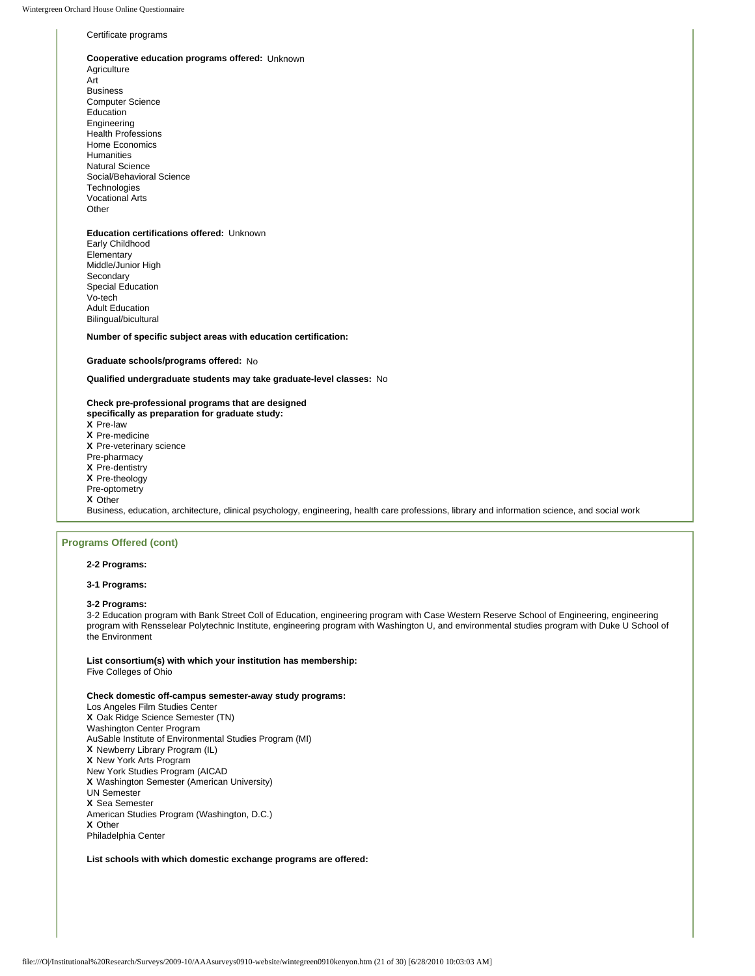#### Certificate programs

#### **Cooperative education programs offered:** Unknown

Agriculture Art Business Computer Science Education Engineering Health Professions Home Economics Humanities Natural Science Social/Behavioral Science **Technologies** Vocational Arts **Other** 

#### **Education certifications offered:** Unknown Early Childhood

Elementary Middle/Junior High Secondary Special Education Vo-tech Adult Education Bilingual/bicultural

**Number of specific subject areas with education certification:**

#### **Graduate schools/programs offered:** No

**Qualified undergraduate students may take graduate-level classes:** No

#### **Check pre-professional programs that are designed specifically as preparation for graduate study:**

- **X** Pre-law
- **X** Pre-medicine
- **X** Pre-veterinary science
- Pre-pharmacy
- **X** Pre-dentistry
- **X** Pre-theology
- Pre-optometry
- **X** Other

Business, education, architecture, clinical psychology, engineering, health care professions, library and information science, and social work

### **Programs Offered (cont)**

#### **2-2 Programs:**

**3-1 Programs:** 

#### **3-2 Programs:**

3-2 Education program with Bank Street Coll of Education, engineering program with Case Western Reserve School of Engineering, engineering program with Rensselear Polytechnic Institute, engineering program with Washington U, and environmental studies program with Duke U School of the Environment

**List consortium(s) with which your institution has membership:**  Five Colleges of Ohio

#### **Check domestic off-campus semester-away study programs:**

Los Angeles Film Studies Center **X** Oak Ridge Science Semester (TN) Washington Center Program AuSable Institute of Environmental Studies Program (MI) **X** Newberry Library Program (IL) **X** New York Arts Program New York Studies Program (AICAD **X** Washington Semester (American University) UN Semester **X** Sea Semester American Studies Program (Washington, D.C.) **X** Other Philadelphia Center

**List schools with which domestic exchange programs are offered:**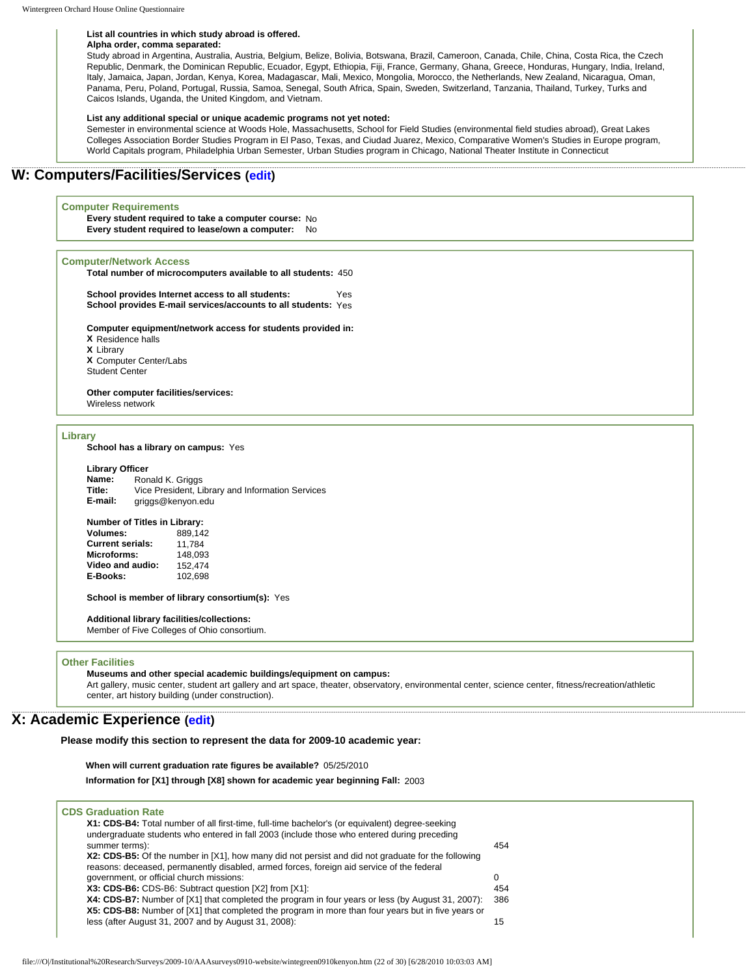#### **List all countries in which study abroad is offered.**

#### **Alpha order, comma separated:**

Study abroad in Argentina, Australia, Austria, Belgium, Belize, Bolivia, Botswana, Brazil, Cameroon, Canada, Chile, China, Costa Rica, the Czech Republic, Denmark, the Dominican Republic, Ecuador, Egypt, Ethiopia, Fiji, France, Germany, Ghana, Greece, Honduras, Hungary, India, Ireland, Italy, Jamaica, Japan, Jordan, Kenya, Korea, Madagascar, Mali, Mexico, Mongolia, Morocco, the Netherlands, New Zealand, Nicaragua, Oman, Panama, Peru, Poland, Portugal, Russia, Samoa, Senegal, South Africa, Spain, Sweden, Switzerland, Tanzania, Thailand, Turkey, Turks and Caicos Islands, Uganda, the United Kingdom, and Vietnam.

#### **List any additional special or unique academic programs not yet noted:**

Semester in environmental science at Woods Hole, Massachusetts, School for Field Studies (environmental field studies abroad), Great Lakes Colleges Association Border Studies Program in El Paso, Texas, and Ciudad Juarez, Mexico, Comparative Women's Studies in Europe program, World Capitals program, Philadelphia Urban Semester, Urban Studies program in Chicago, National Theater Institute in Connecticut

## **W: Computers/Facilities/Services [\(edit\)](http://survey.wgoh.com/secure/sectionWView.htm)**

#### **Computer Requirements**

**Every student required to take a computer course:** No **Every student required to lease/own a computer:** No

#### **Computer/Network Access**

**Total number of microcomputers available to all students:** 450

**School provides Internet access to all students:** Yes **School provides E-mail services/accounts to all students:** Yes

#### **Computer equipment/network access for students provided in: X** Residence halls **X** Library

**X** Computer Center/Labs Student Center

**Other computer facilities/services:**  Wireless network

## **Library**

**School has a library on campus:** Yes

#### **Library Officer**

**Name:** Ronald K. Griggs **Title:** Vice President, Library and Information Services<br>**E-mail:** griggs@kenyon.edu **E-mail:** griggs@kenyon.edu

# **Number of Titles in Library:**

**Volumes:** 889,142 **Current serials:** 11,784 Microforms: 148,093<br>Video and audio: 152,474 **Video and audio:** 152,474<br>**E-Books:** 102,698 **E-Books:** 

**School is member of library consortium(s):** Yes

### **Additional library facilities/collections:**

Member of Five Colleges of Ohio consortium.

#### **Other Facilities**

**Museums and other special academic buildings/equipment on campus:**  Art gallery, music center, student art gallery and art space, theater, observatory, environmental center, science center, fitness/recreation/athletic center, art history building (under construction).

## **X: Academic Experience [\(edit\)](http://survey.wgoh.com/secure/sectionXView.htm)**

**Please modify this section to represent the data for 2009-10 academic year:** 

**When will current graduation rate figures be available?** 05/25/2010

**Information for [X1] through [X8] shown for academic year beginning Fall:** 2003

| <b>CDS Graduation Rate</b><br>X1: CDS-B4: Total number of all first-time, full-time bachelor's (or equivalent) degree-seeking                                                                           |     |
|---------------------------------------------------------------------------------------------------------------------------------------------------------------------------------------------------------|-----|
| undergraduate students who entered in fall 2003 (include those who entered during preceding<br>summer terms):                                                                                           | 454 |
| X2: CDS-B5: Of the number in [X1], how many did not persist and did not graduate for the following<br>reasons: deceased, permanently disabled, armed forces, foreign aid service of the federal         |     |
| government, or official church missions:                                                                                                                                                                | 0   |
| X3: CDS-B6: CDS-B6: Subtract question [X2] from [X1]:                                                                                                                                                   | 454 |
| X4: CDS-B7: Number of [X1] that completed the program in four years or less (by August 31, 2007):<br>X5: CDS-B8: Number of [X1] that completed the program in more than four years but in five years or | 386 |
| less (after August 31, 2007 and by August 31, 2008):                                                                                                                                                    | 15  |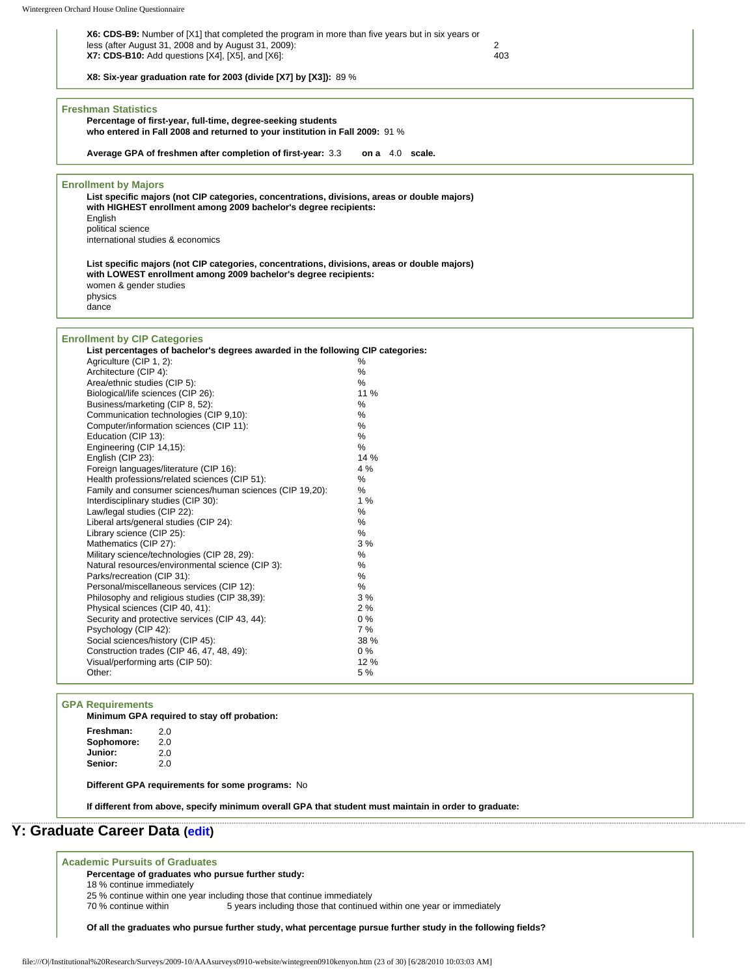| X6: CDS-B9: Number of [X1] that completed the program in more than five years but in six years or |     |
|---------------------------------------------------------------------------------------------------|-----|
| less (after August 31, 2008 and by August 31, 2009):                                              |     |
| $X7:$ CDS-B10: Add questions $[X4]$ , $[X5]$ , and $[X6]$ :                                       | 403 |

**X8: Six-year graduation rate for 2003 (divide [X7] by [X3]):** 89 % **Freshman Statistics Percentage of first-year, full-time, degree-seeking students who entered in Fall 2008 and returned to your institution in Fall 2009:** 91 % **Average GPA of freshmen after completion of first-year:** 3.3 **on a** 4.0 **scale. Enrollment by Majors List specific majors (not CIP categories, concentrations, divisions, areas or double majors) with HIGHEST enrollment among 2009 bachelor's degree recipients:** English political science international studies & economics **List specific majors (not CIP categories, concentrations, divisions, areas or double majors) with LOWEST enrollment among 2009 bachelor's degree recipients:** women & gender studies physics dance **Enrollment by CIP Categories**

| informent by GIF Categories:                                                    |       |  |
|---------------------------------------------------------------------------------|-------|--|
| List percentages of bachelor's degrees awarded in the following CIP categories: |       |  |
| Agriculture (CIP 1, 2):                                                         | ℅     |  |
| Architecture (CIP 4):                                                           | $\%$  |  |
| Area/ethnic studies (CIP 5):                                                    | %     |  |
| Biological/life sciences (CIP 26):                                              | 11 %  |  |
| Business/marketing (CIP 8, 52):                                                 | $\%$  |  |
| Communication technologies (CIP 9.10):                                          | %     |  |
| Computer/information sciences (CIP 11):                                         | %     |  |
| Education (CIP 13):                                                             | %     |  |
| Engineering (CIP 14,15):                                                        | %     |  |
| English (CIP 23):                                                               | 14 %  |  |
| Foreign languages/literature (CIP 16):                                          | 4 %   |  |
| Health professions/related sciences (CIP 51):                                   | %     |  |
| Family and consumer sciences/human sciences (CIP 19.20):                        | %     |  |
| Interdisciplinary studies (CIP 30):                                             | 1%    |  |
| Law/legal studies (CIP 22):                                                     | $\%$  |  |
| Liberal arts/general studies (CIP 24):                                          | %     |  |
| Library science (CIP 25):                                                       | %     |  |
| Mathematics (CIP 27):                                                           | 3%    |  |
| Military science/technologies (CIP 28, 29):                                     | %     |  |
| Natural resources/environmental science (CIP 3):                                | %     |  |
| Parks/recreation (CIP 31):                                                      | %     |  |
| Personal/miscellaneous services (CIP 12):                                       | %     |  |
| Philosophy and religious studies (CIP 38,39):                                   | 3%    |  |
| Physical sciences (CIP 40, 41):                                                 | 2%    |  |
| Security and protective services (CIP 43, 44):                                  | 0%    |  |
| Psychology (CIP 42):                                                            | 7%    |  |
| Social sciences/history (CIP 45):                                               | 38 %  |  |
| Construction trades (CIP 46, 47, 48, 49):                                       | $0\%$ |  |
| Visual/performing arts (CIP 50):                                                | 12 %  |  |
| Other:                                                                          | 5 %   |  |

## **GPA Requirements**

**Minimum GPA required to stay off probation:**

| Freshman:  | 2.0 |
|------------|-----|
| Sophomore: | 2.0 |
| Junior:    | 2.0 |
| Senior:    | 2.0 |

**Different GPA requirements for some programs:** No

**If different from above, specify minimum overall GPA that student must maintain in order to graduate:**

# **Y: Graduate Career Data [\(edit](http://survey.wgoh.com/secure/sectionYView.htm))**

## **Academic Pursuits of Graduates**

**Percentage of graduates who pursue further study:**

18 % continue immediately

25 % continue within one year including those that continue immediately

70 % continue within 5 years including those that continued within one year or immediately

**Of all the graduates who pursue further study, what percentage pursue further study in the following fields?**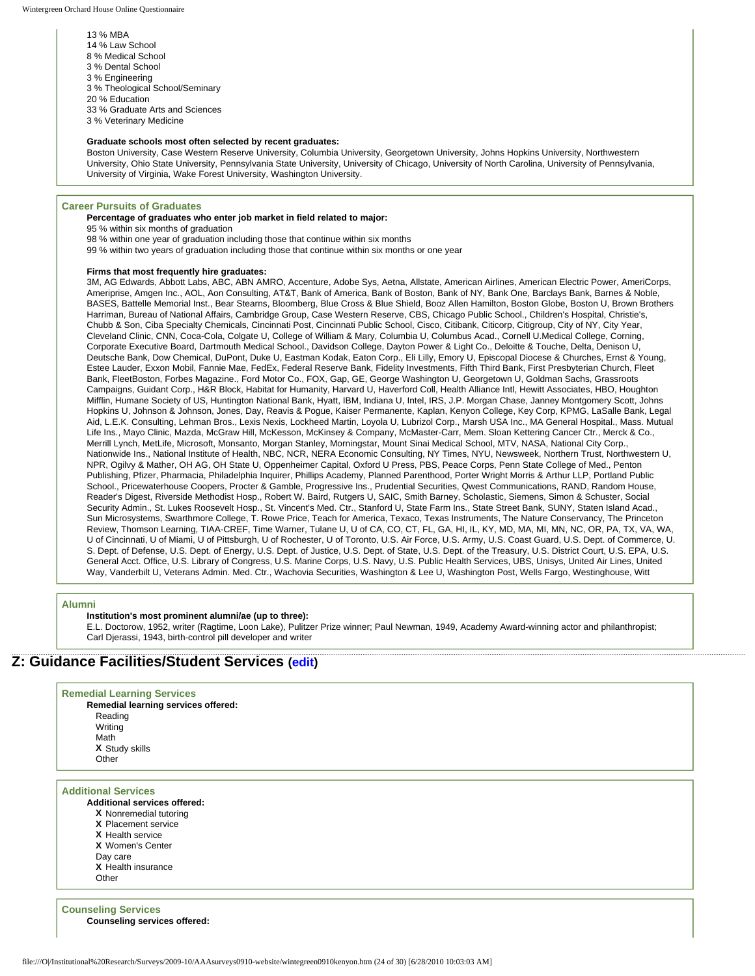13 % MBA 14 % Law School 8 % Medical School 3 % Dental School 3 % Engineering 3 % Theological School/Seminary 20 % Education 33 % Graduate Arts and Sciences 3 % Veterinary Medicine

#### **Graduate schools most often selected by recent graduates:**

Boston University, Case Western Reserve University, Columbia University, Georgetown University, Johns Hopkins University, Northwestern University, Ohio State University, Pennsylvania State University, University of Chicago, University of North Carolina, University of Pennsylvania, University of Virginia, Wake Forest University, Washington University.

### **Career Pursuits of Graduates**

### **Percentage of graduates who enter job market in field related to major:**

95 % within six months of graduation

- 98 % within one year of graduation including those that continue within six months
- 99 % within two years of graduation including those that continue within six months or one year

#### **Firms that most frequently hire graduates:**

3M, AG Edwards, Abbott Labs, ABC, ABN AMRO, Accenture, Adobe Sys, Aetna, Allstate, American Airlines, American Electric Power, AmeriCorps, Ameriprise, Amgen Inc., AOL, Aon Consulting, AT&T, Bank of America, Bank of Boston, Bank of NY, Bank One, Barclays Bank, Barnes & Noble, BASES, Battelle Memorial Inst., Bear Stearns, Bloomberg, Blue Cross & Blue Shield, Booz Allen Hamilton, Boston Globe, Boston U, Brown Brothers Harriman, Bureau of National Affairs, Cambridge Group, Case Western Reserve, CBS, Chicago Public School., Children's Hospital, Christie's, Chubb & Son, Ciba Specialty Chemicals, Cincinnati Post, Cincinnati Public School, Cisco, Citibank, Citicorp, Citigroup, City of NY, City Year, Cleveland Clinic, CNN, Coca-Cola, Colgate U, College of William & Mary, Columbia U, Columbus Acad., Cornell U.Medical College, Corning, Corporate Executive Board, Dartmouth Medical School., Davidson College, Dayton Power & Light Co., Deloitte & Touche, Delta, Denison U, Deutsche Bank, Dow Chemical, DuPont, Duke U, Eastman Kodak, Eaton Corp., Eli Lilly, Emory U, Episcopal Diocese & Churches, Ernst & Young, Estee Lauder, Exxon Mobil, Fannie Mae, FedEx, Federal Reserve Bank, Fidelity Investments, Fifth Third Bank, First Presbyterian Church, Fleet Bank, FleetBoston, Forbes Magazine., Ford Motor Co., FOX, Gap, GE, George Washington U, Georgetown U, Goldman Sachs, Grassroots Campaigns, Guidant Corp., H&R Block, Habitat for Humanity, Harvard U, Haverford Coll, Health Alliance Intl, Hewitt Associates, HBO, Houghton Mifflin, Humane Society of US, Huntington National Bank, Hyatt, IBM, Indiana U, Intel, IRS, J.P. Morgan Chase, Janney Montgomery Scott, Johns Hopkins U, Johnson & Johnson, Jones, Day, Reavis & Pogue, Kaiser Permanente, Kaplan, Kenyon College, Key Corp, KPMG, LaSalle Bank, Legal Aid, L.E.K. Consulting, Lehman Bros., Lexis Nexis, Lockheed Martin, Loyola U, Lubrizol Corp., Marsh USA Inc., MA General Hospital., Mass. Mutual Life Ins., Mayo Clinic, Mazda, McGraw Hill, McKesson, McKinsey & Company, McMaster-Carr, Mem. Sloan Kettering Cancer Ctr., Merck & Co., Merrill Lynch, MetLife, Microsoft, Monsanto, Morgan Stanley, Morningstar, Mount Sinai Medical School, MTV, NASA, National City Corp., Nationwide Ins., National Institute of Health, NBC, NCR, NERA Economic Consulting, NY Times, NYU, Newsweek, Northern Trust, Northwestern U, NPR, Ogilvy & Mather, OH AG, OH State U, Oppenheimer Capital, Oxford U Press, PBS, Peace Corps, Penn State College of Med., Penton Publishing, Pfizer, Pharmacia, Philadelphia Inquirer, Phillips Academy, Planned Parenthood, Porter Wright Morris & Arthur LLP, Portland Public School., Pricewaterhouse Coopers, Procter & Gamble, Progressive Ins., Prudential Securities, Qwest Communications, RAND, Random House, Reader's Digest, Riverside Methodist Hosp., Robert W. Baird, Rutgers U, SAIC, Smith Barney, Scholastic, Siemens, Simon & Schuster, Social Security Admin., St. Lukes Roosevelt Hosp., St. Vincent's Med. Ctr., Stanford U, State Farm Ins., State Street Bank, SUNY, Staten Island Acad., Sun Microsystems, Swarthmore College, T. Rowe Price, Teach for America, Texaco, Texas Instruments, The Nature Conservancy, The Princeton Review, Thomson Learning, TIAA-CREF, Time Warner, Tulane U, U of CA, CO, CT, FL, GA, HI, IL, KY, MD, MA, MI, MN, NC, OR, PA, TX, VA, WA, U of Cincinnati, U of Miami, U of Pittsburgh, U of Rochester, U of Toronto, U.S. Air Force, U.S. Army, U.S. Coast Guard, U.S. Dept. of Commerce, U. S. Dept. of Defense, U.S. Dept. of Energy, U.S. Dept. of Justice, U.S. Dept. of State, U.S. Dept. of the Treasury, U.S. District Court, U.S. EPA, U.S. General Acct. Office, U.S. Library of Congress, U.S. Marine Corps, U.S. Navy, U.S. Public Health Services, UBS, Unisys, United Air Lines, United Way, Vanderbilt U, Veterans Admin. Med. Ctr., Wachovia Securities, Washington & Lee U, Washington Post, Wells Fargo, Westinghouse, Witt

#### **Alumni**

#### **Institution's most prominent alumni/ae (up to three):**

E.L. Doctorow, 1952, writer (Ragtime, Loon Lake), Pulitzer Prize winner; Paul Newman, 1949, Academy Award-winning actor and philanthropist; Carl Djerassi, 1943, birth-control pill developer and writer

## **Z: Guidance Facilities/Student Services ([edit\)](http://survey.wgoh.com/secure/sectionZView.htm)**

| <b>Remedial Learning Services</b> |  |  |
|-----------------------------------|--|--|
|-----------------------------------|--|--|

**Remedial learning services offered:** Reading Writing Math **X** Study skills **Other** 

#### **Additional Services**

- **Additional services offered:**
- **X** Nonremedial tutoring
- **X** Placement service
- **X** Health service
- **X** Women's Center
- Day care
- **X** Health insurance
- **Other**

**Counseling Services Counseling services offered:**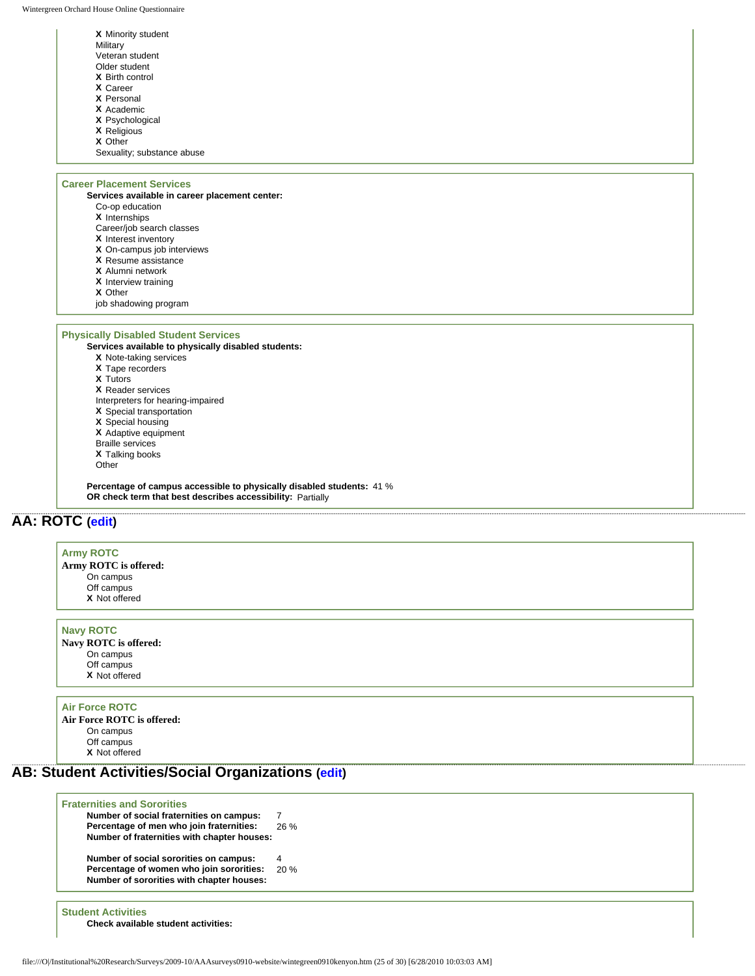Wintergreen Orchard House Online Questionnaire

| X Minority student         |  |
|----------------------------|--|
| Military                   |  |
| Veteran student            |  |
| Older student              |  |
| <b>X</b> Birth control     |  |
| <b>X</b> Career            |  |
| <b>X</b> Personal          |  |
| X Academic                 |  |
| <b>X</b> Psychological     |  |
| <b>X</b> Religious         |  |
| X Other                    |  |
| Sexuality; substance abuse |  |
|                            |  |

## **Career Placement Services**

**Services available in career placement center:** Co-op education

- **X** Internships
- Career/job search classes
- **X** Interest inventory
- **X** On-campus job interviews
- **X** Resume assistance
- **X** Alumni network
- **X** Interview training
- **X** Other
- job shadowing program

## **Physically Disabled Student Services**

**Services available to physically disabled students: X** Note-taking services **X** Tape recorders **X** Tutors **X** Reader services Interpreters for hearing-impaired **X** Special transportation

- **X** Special housing
- **X** Adaptive equipment
- Braille services
- **X** Talking books

Other

**Percentage of campus accessible to physically disabled students:** 41 % **OR check term that best describes accessibility:** Partially

# **AA: ROTC ([edit](http://survey.wgoh.com/secure/sectionAAView.htm))**

| Army ROTC<br>Army ROTC is offered:<br>On campus<br>Off campus<br>X Not offered |  |  |  |
|--------------------------------------------------------------------------------|--|--|--|
|                                                                                |  |  |  |
| <b>Navy ROTC</b>                                                               |  |  |  |

**Navy ROTC is offered:** On campus Off campus **X** Not offered

## **Air Force ROTC**

**Air Force ROTC is offered:** On campus Off campus **X** Not offered

## **AB: Student Activities/Social Organizations ([edit\)](http://survey.wgoh.com/secure/sectionABView.htm)**

| <b>Fraternities and Sororities</b>          |      |
|---------------------------------------------|------|
| Number of social fraternities on campus:    |      |
| Percentage of men who join fraternities:    | 26 % |
| Number of fraternities with chapter houses: |      |
| Number of social sororities on campus:      | 4    |
| Percentage of women who join sororities:    | 20%  |
| Number of sororities with chapter houses:   |      |

**Student Activities Check available student activities:**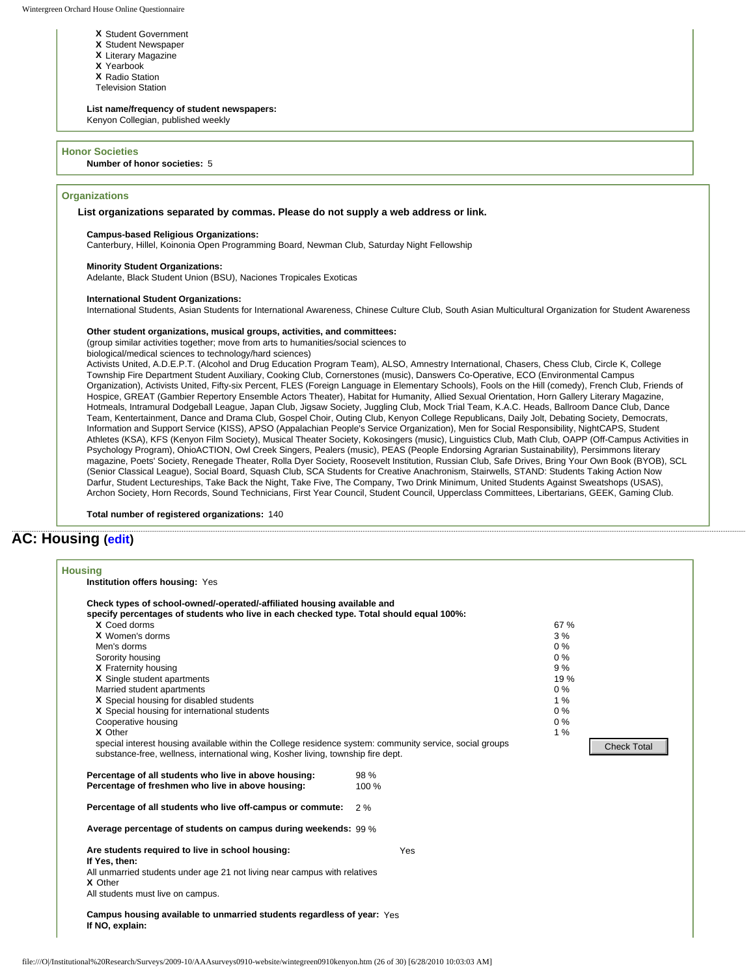- **X** Student Government
- **X** Student Newspaper
- **X** Literary Magazine **X** Yearbook
- 
- **X** Radio Station Television Station
- 

#### **List name/frequency of student newspapers:**

Kenyon Collegian, published weekly

#### **Honor Societies**

#### **Number of honor societies:** 5

## **Organizations**

#### **List organizations separated by commas. Please do not supply a web address or link.**

#### **Campus-based Religious Organizations:**

Canterbury, Hillel, Koinonia Open Programming Board, Newman Club, Saturday Night Fellowship

#### **Minority Student Organizations:**

Adelante, Black Student Union (BSU), Naciones Tropicales Exoticas

#### **International Student Organizations:**

International Students, Asian Students for International Awareness, Chinese Culture Club, South Asian Multicultural Organization for Student Awareness

### **Other student organizations, musical groups, activities, and committees:**

(group similar activities together; move from arts to humanities/social sciences to

biological/medical sciences to technology/hard sciences)

Activists United, A.D.E.P.T. (Alcohol and Drug Education Program Team), ALSO, Amnestry International, Chasers, Chess Club, Circle K, College Township Fire Department Student Auxiliary, Cooking Club, Cornerstones (music), Danswers Co-Operative, ECO (Environmental Campus Organization), Activists United, Fifty-six Percent, FLES (Foreign Language in Elementary Schools), Fools on the Hill (comedy), French Club, Friends of Hospice, GREAT (Gambier Repertory Ensemble Actors Theater), Habitat for Humanity, Allied Sexual Orientation, Horn Gallery Literary Magazine, Hotmeals, Intramural Dodgeball League, Japan Club, Jigsaw Society, Juggling Club, Mock Trial Team, K.A.C. Heads, Ballroom Dance Club, Dance Team, Kentertainment, Dance and Drama Club, Gospel Choir, Outing Club, Kenyon College Republicans, Daily Jolt, Debating Society, Democrats, Information and Support Service (KISS), APSO (Appalachian People's Service Organization), Men for Social Responsibility, NightCAPS, Student Athletes (KSA), KFS (Kenyon Film Society), Musical Theater Society, Kokosingers (music), Linguistics Club, Math Club, OAPP (Off-Campus Activities in Psychology Program), OhioACTION, Owl Creek Singers, Pealers (music), PEAS (People Endorsing Agrarian Sustainability), Persimmons literary magazine, Poets' Society, Renegade Theater, Rolla Dyer Society, Roosevelt Institution, Russian Club, Safe Drives, Bring Your Own Book (BYOB), SCL (Senior Classical League), Social Board, Squash Club, SCA Students for Creative Anachronism, Stairwells, STAND: Students Taking Action Now Darfur, Student Lectureships, Take Back the Night, Take Five, The Company, Two Drink Minimum, United Students Against Sweatshops (USAS), Archon Society, Horn Records, Sound Technicians, First Year Council, Student Council, Upperclass Committees, Libertarians, GEEK, Gaming Club.

**Total number of registered organizations:** 140

## **AC: Housing [\(edit](http://survey.wgoh.com/secure/sectionACView.htm))**

| Check types of school-owned/-operated/-affiliated housing available and                                  |       |       |                    |
|----------------------------------------------------------------------------------------------------------|-------|-------|--------------------|
| specify percentages of students who live in each checked type. Total should equal 100%:                  |       |       |                    |
| X Coed dorms                                                                                             |       | 67 %  |                    |
| X Women's dorms                                                                                          |       | 3%    |                    |
| Men's dorms                                                                                              |       | $0\%$ |                    |
| Sorority housing                                                                                         |       | $0\%$ |                    |
| X Fraternity housing                                                                                     |       | 9%    |                    |
| X Single student apartments                                                                              |       | 19 %  |                    |
| Married student apartments                                                                               |       | 0%    |                    |
| X Special housing for disabled students                                                                  |       | 1%    |                    |
| X Special housing for international students                                                             |       | $0\%$ |                    |
| Cooperative housing                                                                                      |       | $0\%$ |                    |
| X Other                                                                                                  |       | 1%    |                    |
| special interest housing available within the College residence system: community service, social groups |       |       | <b>Check Total</b> |
| substance-free, wellness, international wing, Kosher living, township fire dept.                         |       |       |                    |
| Percentage of all students who live in above housing:                                                    | 98 %  |       |                    |
| Percentage of freshmen who live in above housing:                                                        | 100 % |       |                    |
| Percentage of all students who live off-campus or commute:                                               | 2%    |       |                    |
| Average percentage of students on campus during weekends: 99 %                                           |       |       |                    |
| Are students required to live in school housing:                                                         | Yes   |       |                    |
| If Yes, then:                                                                                            |       |       |                    |
| All unmarried students under age 21 not living near campus with relatives                                |       |       |                    |
| X Other                                                                                                  |       |       |                    |
| All students must live on campus.                                                                        |       |       |                    |
| Campus housing available to unmarried students regardless of year: Yes                                   |       |       |                    |
| If NO, explain:                                                                                          |       |       |                    |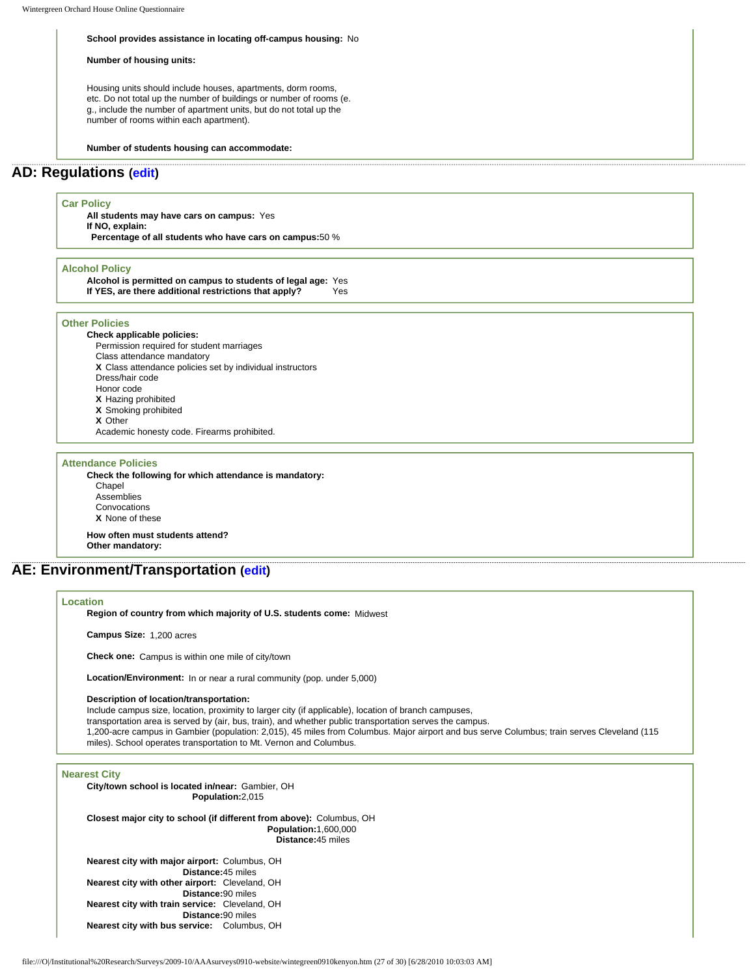#### **School provides assistance in locating off-campus housing:** No

#### **Number of housing units:**

Housing units should include houses, apartments, dorm rooms, etc. Do not total up the number of buildings or number of rooms (e. g., include the number of apartment units, but do not total up the number of rooms within each apartment).

#### **Number of students housing can accommodate:**

## **AD: Regulations ([edit\)](http://survey.wgoh.com/secure/sectionADView.htm)**

## **Car Policy**

**All students may have cars on campus:** Yes **If NO, explain: Percentage of all students who have cars on campus:**50 %

#### **Alcohol Policy**

**Alcohol is permitted on campus to students of legal age:** Yes **If YES, are there additional restrictions that apply?** Yes

## **Other Policies**

**Check applicable policies:** Permission required for student marriages Class attendance mandatory **X** Class attendance policies set by individual instructors Dress/hair code Honor code **X** Hazing prohibited **X** Smoking prohibited **X** Other Academic honesty code. Firearms prohibited.

#### **Attendance Policies**

**Check the following for which attendance is mandatory: Chapel** Assemblies Convocations **X** None of these

**How often must students attend? Other mandatory:** 

**AE: Environment/Transportation [\(edit](http://survey.wgoh.com/secure/sectionAEView.htm))**

### **Location**

**Region of country from which majority of U.S. students come:** Midwest

**Campus Size:** 1,200 acres

**Check one:** Campus is within one mile of city/town

**Location/Environment:** In or near a rural community (pop. under 5,000)

### **Description of location/transportation:**

Include campus size, location, proximity to larger city (if applicable), location of branch campuses,

transportation area is served by (air, bus, train), and whether public transportation serves the campus. 1,200-acre campus in Gambier (population: 2,015), 45 miles from Columbus. Major airport and bus serve Columbus; train serves Cleveland (115

miles). School operates transportation to Mt. Vernon and Columbus.

#### **Nearest City**

**City/town school is located in/near:** Gambier, OH **Population:**2,015

**Closest major city to school (if different from above):** Columbus, OH **Population:**1,600,000 **Distance:**45 miles

**Nearest city with major airport:** Columbus, OH **Distance:**45 miles **Nearest city with other airport:** Cleveland, OH **Distance:**90 miles **Nearest city with train service:** Cleveland, OH **Distance:**90 miles **Nearest city with bus service:** Columbus, OH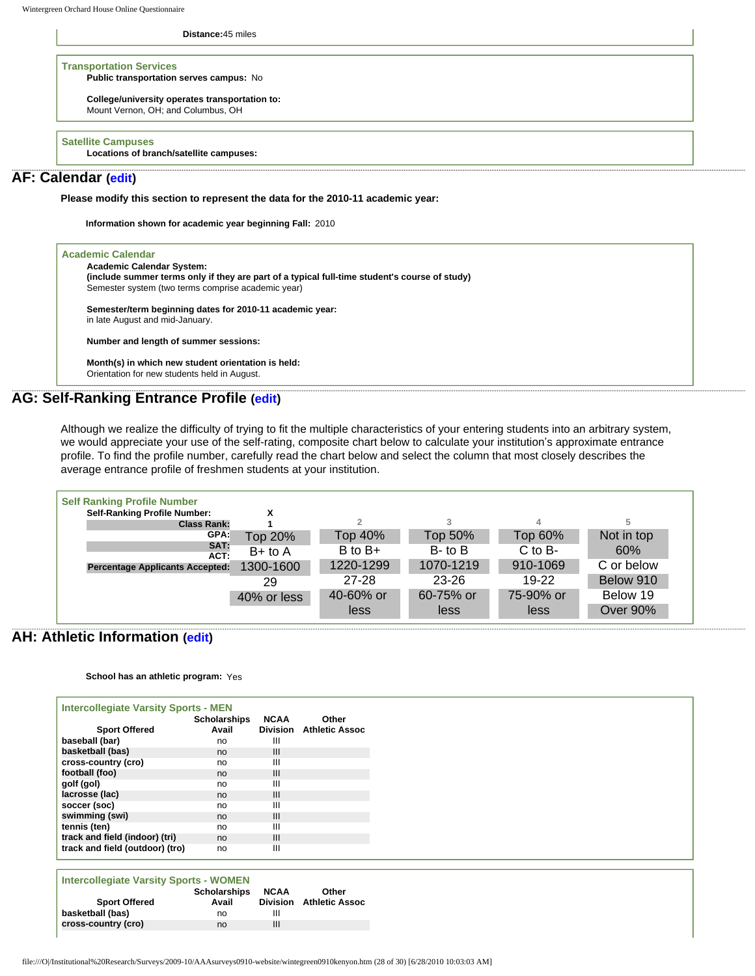**Distance:**45 miles

**Transportation Services Public transportation serves campus:** No

> **College/university operates transportation to:** Mount Vernon, OH; and Columbus, OH

**Satellite Campuses**

**Locations of branch/satellite campuses:**

## **AF: Calendar [\(edit](http://survey.wgoh.com/secure/sectionAFView.htm))**

**Please modify this section to represent the data for the 2010-11 academic year:** 

**Information shown for academic year beginning Fall:** 2010

| <b>Academic Calendar System:</b>                                                              |  |
|-----------------------------------------------------------------------------------------------|--|
| (include summer terms only if they are part of a typical full-time student's course of study) |  |
| Semester system (two terms comprise academic year)                                            |  |
| Semester/term beginning dates for 2010-11 academic year:                                      |  |
| in late August and mid-January.                                                               |  |
| Number and length of summer sessions:                                                         |  |
| Month(s) in which new student orientation is held:                                            |  |
| Orientation for new students held in August.                                                  |  |

## **AG: Self-Ranking Entrance Profile ([edit\)](http://survey.wgoh.com/secure/sectionAGView.htm)**

Although we realize the difficulty of trying to fit the multiple characteristics of your entering students into an arbitrary system, we would appreciate your use of the self-rating, composite chart below to calculate your institution's approximate entrance profile. To find the profile number, carefully read the chart below and select the column that most closely describes the average entrance profile of freshmen students at your institution.



## **AH: Athletic Information ([edit](http://survey.wgoh.com/secure/sectionAHView.htm))**

**School has an athletic program:** Yes

| <b>Intercollegiate Varsity Sports - MEN</b> |                 |                       |
|---------------------------------------------|-----------------|-----------------------|
| <b>Scholarships</b>                         | <b>NCAA</b>     | Other                 |
| Avail                                       | <b>Division</b> | <b>Athletic Assoc</b> |
| no                                          | Ш               |                       |
| no                                          | III             |                       |
| no                                          | Ш               |                       |
| no                                          | III             |                       |
| no                                          | Ш               |                       |
| no                                          | III             |                       |
| no                                          | Ш               |                       |
| no                                          | III             |                       |
| no                                          | Ш               |                       |
| no                                          | III             |                       |
| track and field (outdoor) (tro)<br>no       | Ш               |                       |
|                                             |                 |                       |

| <b>Intercollegiate Varsity Sports - WOMEN</b> |                     |                 |                |  |
|-----------------------------------------------|---------------------|-----------------|----------------|--|
|                                               | <b>Scholarships</b> | <b>NCAA</b>     | Other          |  |
| <b>Sport Offered</b>                          | Avail               | <b>Division</b> | Athletic Assoc |  |
| basketball (bas)                              | no                  | Ш               |                |  |
| cross-country (cro)                           | no                  | Ш               |                |  |
|                                               |                     |                 |                |  |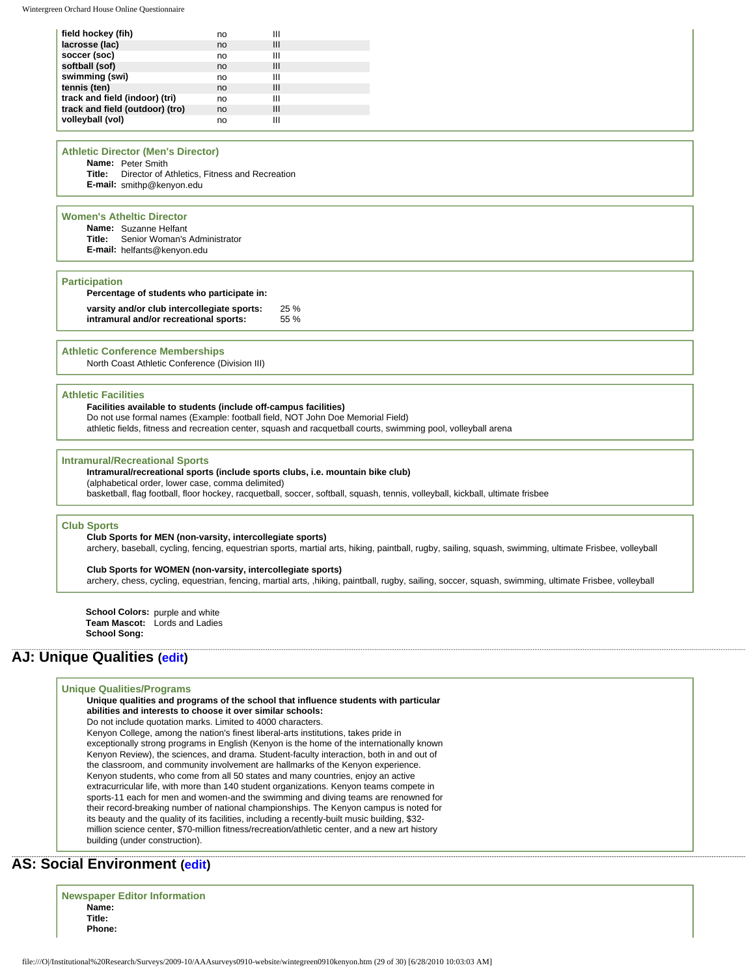| field hockey (fih)              | no | Ш |  |
|---------------------------------|----|---|--|
| lacrosse (lac)                  | no | Ш |  |
| soccer (soc)                    | no | Ш |  |
| softball (sof)                  | no | Ш |  |
| swimming (swi)                  | no | Ш |  |
| tennis (ten)                    | no | Ш |  |
| track and field (indoor) (tri)  | no | Ш |  |
| track and field (outdoor) (tro) | no | Ш |  |
| volleyball (vol)                | no | Ш |  |

### **Athletic Director (Men's Director)**

**Name:** Peter Smith **Title:** Director of Athletics, Fitness and Recreation **E-mail:** smithp@kenyon.edu

### **Women's Atheltic Director**

| <b>Name:</b> Suzanne Helfant               |
|--------------------------------------------|
| <b>Title:</b> Senior Woman's Administrator |
| E-mail: helfants@kenyon.edu                |

#### **Participation**

| Percentage of students who participate in:                                            |             |
|---------------------------------------------------------------------------------------|-------------|
| varsity and/or club intercollegiate sports:<br>intramural and/or recreational sports: | 25%<br>55 % |
|                                                                                       |             |

#### **Athletic Conference Memberships**

North Coast Athletic Conference (Division III)

### **Athletic Facilities**

**Facilities available to students (include off-campus facilities)**  Do not use formal names (Example: football field, NOT John Doe Memorial Field) athletic fields, fitness and recreation center, squash and racquetball courts, swimming pool, volleyball arena

#### **Intramural/Recreational Sports**

## **Intramural/recreational sports (include sports clubs, i.e. mountain bike club)**

(alphabetical order, lower case, comma delimited)

basketball, flag football, floor hockey, racquetball, soccer, softball, squash, tennis, volleyball, kickball, ultimate frisbee

#### **Club Sports**

#### **Club Sports for MEN (non-varsity, intercollegiate sports)**  archery, baseball, cycling, fencing, equestrian sports, martial arts, hiking, paintball, rugby, sailing, squash, swimming, ultimate Frisbee, volleyball

**Club Sports for WOMEN (non-varsity, intercollegiate sports)**  archery, chess, cycling, equestrian, fencing, martial arts, ,hiking, paintball, rugby, sailing, soccer, squash, swimming, ultimate Frisbee, volleyball

**School Colors:** purple and white **Team Mascot:** Lords and Ladies **School Song:** 

## **AJ: Unique Qualities [\(edit](http://survey.wgoh.com/secure/sectionAJView.htm))**

## **Unique Qualities/Programs**

**Unique qualities and programs of the school that influence students with particular abilities and interests to choose it over similar schools:**  Do not include quotation marks. Limited to 4000 characters. Kenyon College, among the nation's finest liberal-arts institutions, takes pride in exceptionally strong programs in English (Kenyon is the home of the internationally known Kenyon Review), the sciences, and drama. Student-faculty interaction, both in and out of the classroom, and community involvement are hallmarks of the Kenyon experience. Kenyon students, who come from all 50 states and many countries, enjoy an active extracurricular life, with more than 140 student organizations. Kenyon teams compete in sports-11 each for men and women-and the swimming and diving teams are renowned for their record-breaking number of national championships. The Kenyon campus is noted for its beauty and the quality of its facilities, including a recently-built music building, \$32 million science center, \$70-million fitness/recreation/athletic center, and a new art history building (under construction).

# **AS: Social Environment ([edit\)](http://survey.wgoh.com/secure/sectionASView.htm)**

|        | <b>Newspaper Editor Information</b> |
|--------|-------------------------------------|
| Name:  |                                     |
| Title: |                                     |
| Phone: |                                     |